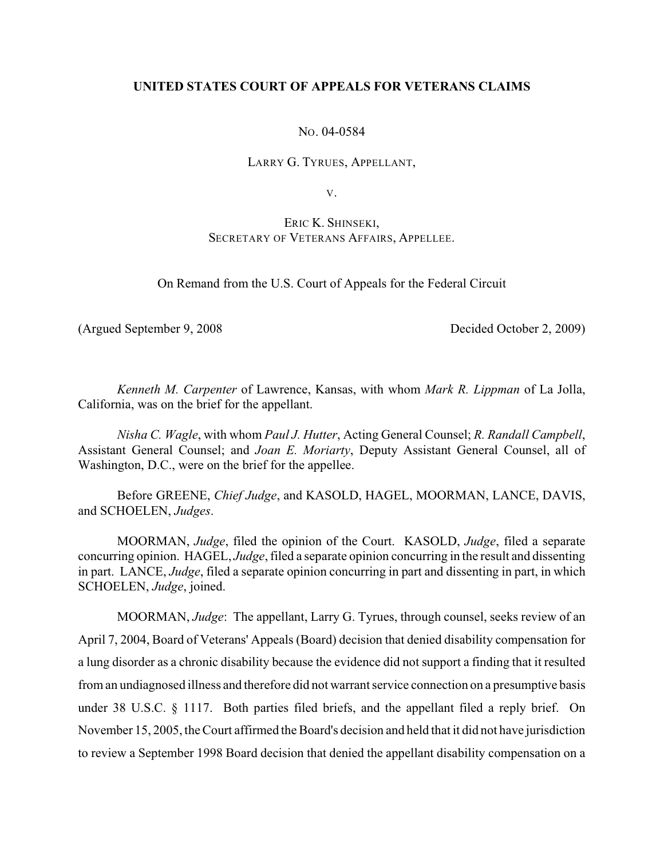# **UNITED STATES COURT OF APPEALS FOR VETERANS CLAIMS**

NO. 04-0584

LARRY G. TYRUES, APPELLANT,

V.

# ERIC K. SHINSEKI, SECRETARY OF VETERANS AFFAIRS, APPELLEE.

On Remand from the U.S. Court of Appeals for the Federal Circuit

(Argued September 9, 2008 Decided October 2, 2009)

*Kenneth M. Carpenter* of Lawrence, Kansas, with whom *Mark R. Lippman* of La Jolla, California, was on the brief for the appellant.

*Nisha C. Wagle*, with whom *Paul J. Hutter*, Acting General Counsel; *R. Randall Campbell*, Assistant General Counsel; and *Joan E. Moriarty*, Deputy Assistant General Counsel, all of Washington, D.C., were on the brief for the appellee.

Before GREENE, *Chief Judge*, and KASOLD, HAGEL, MOORMAN, LANCE, DAVIS, and SCHOELEN, *Judges*.

MOORMAN, *Judge*, filed the opinion of the Court. KASOLD, *Judge*, filed a separate concurring opinion. HAGEL, *Judge*, filed a separate opinion concurring in the result and dissenting in part. LANCE, *Judge*, filed a separate opinion concurring in part and dissenting in part, in which SCHOELEN, *Judge*, joined.

MOORMAN, *Judge*: The appellant, Larry G. Tyrues, through counsel, seeks review of an April 7, 2004, Board of Veterans' Appeals (Board) decision that denied disability compensation for a lung disorder as a chronic disability because the evidence did not support a finding that it resulted from an undiagnosed illness and therefore did not warrant service connection on a presumptive basis under 38 U.S.C. § 1117. Both parties filed briefs, and the appellant filed a reply brief. On November 15, 2005, the Court affirmed the Board's decision and held that it did not have jurisdiction to review a September 1998 Board decision that denied the appellant disability compensation on a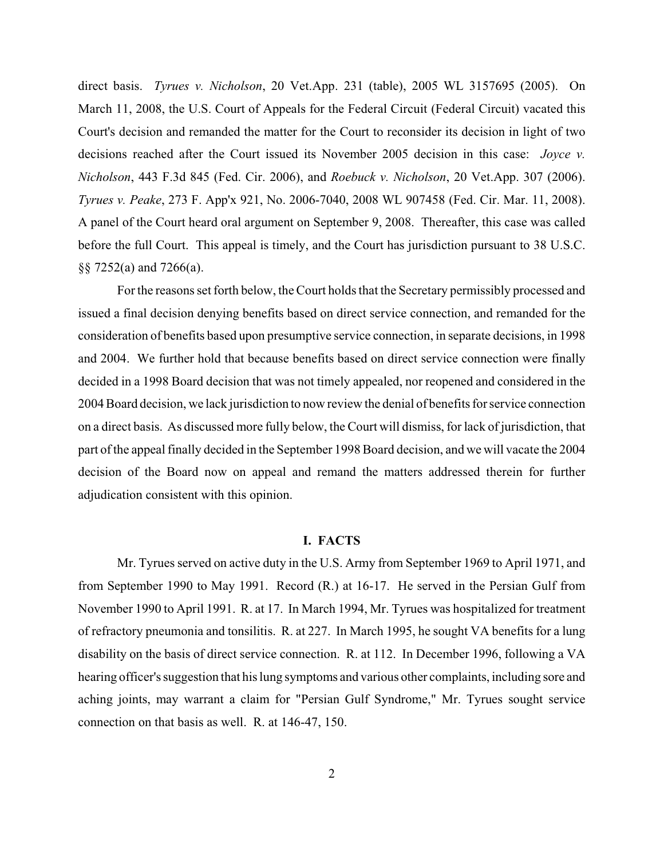direct basis. *Tyrues v. Nicholson*, 20 Vet.App. 231 (table), 2005 WL 3157695 (2005). On March 11, 2008, the U.S. Court of Appeals for the Federal Circuit (Federal Circuit) vacated this Court's decision and remanded the matter for the Court to reconsider its decision in light of two decisions reached after the Court issued its November 2005 decision in this case: *Joyce v. Nicholson*, 443 F.3d 845 (Fed. Cir. 2006), and *Roebuck v. Nicholson*, 20 Vet.App. 307 (2006). *Tyrues v. Peake*, 273 F. App'x 921, No. 2006-7040, 2008 WL 907458 (Fed. Cir. Mar. 11, 2008). A panel of the Court heard oral argument on September 9, 2008. Thereafter, this case was called before the full Court. This appeal is timely, and the Court has jurisdiction pursuant to 38 U.S.C. §§ 7252(a) and 7266(a).

For the reasons set forth below, the Court holds that the Secretary permissibly processed and issued a final decision denying benefits based on direct service connection, and remanded for the consideration of benefits based upon presumptive service connection, in separate decisions, in 1998 and 2004. We further hold that because benefits based on direct service connection were finally decided in a 1998 Board decision that was not timely appealed, nor reopened and considered in the 2004 Board decision, we lack jurisdiction to now review the denial of benefits for service connection on a direct basis. As discussed more fully below, the Court will dismiss, for lack of jurisdiction, that part of the appeal finally decided in the September 1998 Board decision, and we will vacate the 2004 decision of the Board now on appeal and remand the matters addressed therein for further adjudication consistent with this opinion.

#### **I. FACTS**

Mr. Tyrues served on active duty in the U.S. Army from September 1969 to April 1971, and from September 1990 to May 1991. Record (R.) at 16-17. He served in the Persian Gulf from November 1990 to April 1991. R. at 17. In March 1994, Mr. Tyrues was hospitalized for treatment of refractory pneumonia and tonsilitis. R. at 227. In March 1995, he sought VA benefits for a lung disability on the basis of direct service connection. R. at 112. In December 1996, following a VA hearing officer's suggestion that his lung symptoms and various other complaints, including sore and aching joints, may warrant a claim for "Persian Gulf Syndrome," Mr. Tyrues sought service connection on that basis as well. R. at 146-47, 150.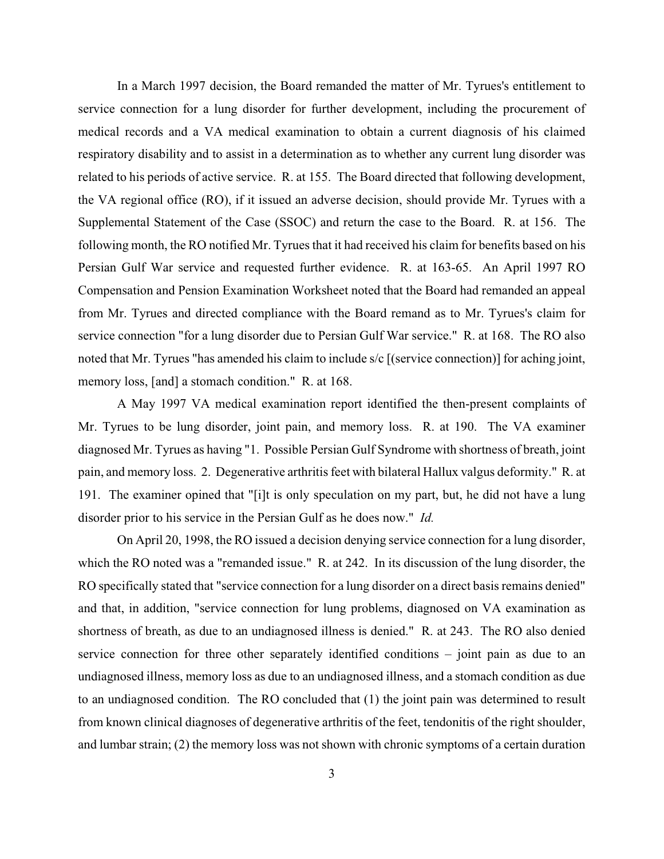In a March 1997 decision, the Board remanded the matter of Mr. Tyrues's entitlement to service connection for a lung disorder for further development, including the procurement of medical records and a VA medical examination to obtain a current diagnosis of his claimed respiratory disability and to assist in a determination as to whether any current lung disorder was related to his periods of active service. R. at 155. The Board directed that following development, the VA regional office (RO), if it issued an adverse decision, should provide Mr. Tyrues with a Supplemental Statement of the Case (SSOC) and return the case to the Board. R. at 156. The following month, the RO notified Mr. Tyrues that it had received his claim for benefits based on his Persian Gulf War service and requested further evidence. R. at 163-65. An April 1997 RO Compensation and Pension Examination Worksheet noted that the Board had remanded an appeal from Mr. Tyrues and directed compliance with the Board remand as to Mr. Tyrues's claim for service connection "for a lung disorder due to Persian Gulf War service." R. at 168. The RO also noted that Mr. Tyrues "has amended his claim to include s/c [(service connection)] for aching joint, memory loss, [and] a stomach condition." R. at 168.

A May 1997 VA medical examination report identified the then-present complaints of Mr. Tyrues to be lung disorder, joint pain, and memory loss. R. at 190. The VA examiner diagnosed Mr. Tyrues as having "1. Possible Persian Gulf Syndrome with shortness of breath, joint pain, and memory loss. 2. Degenerative arthritis feet with bilateral Hallux valgus deformity." R. at 191. The examiner opined that "[i]t is only speculation on my part, but, he did not have a lung disorder prior to his service in the Persian Gulf as he does now." *Id.*

On April 20, 1998, the RO issued a decision denying service connection for a lung disorder, which the RO noted was a "remanded issue." R. at 242. In its discussion of the lung disorder, the RO specifically stated that "service connection for a lung disorder on a direct basis remains denied" and that, in addition, "service connection for lung problems, diagnosed on VA examination as shortness of breath, as due to an undiagnosed illness is denied." R. at 243. The RO also denied service connection for three other separately identified conditions – joint pain as due to an undiagnosed illness, memory loss as due to an undiagnosed illness, and a stomach condition as due to an undiagnosed condition. The RO concluded that (1) the joint pain was determined to result from known clinical diagnoses of degenerative arthritis of the feet, tendonitis of the right shoulder, and lumbar strain; (2) the memory loss was not shown with chronic symptoms of a certain duration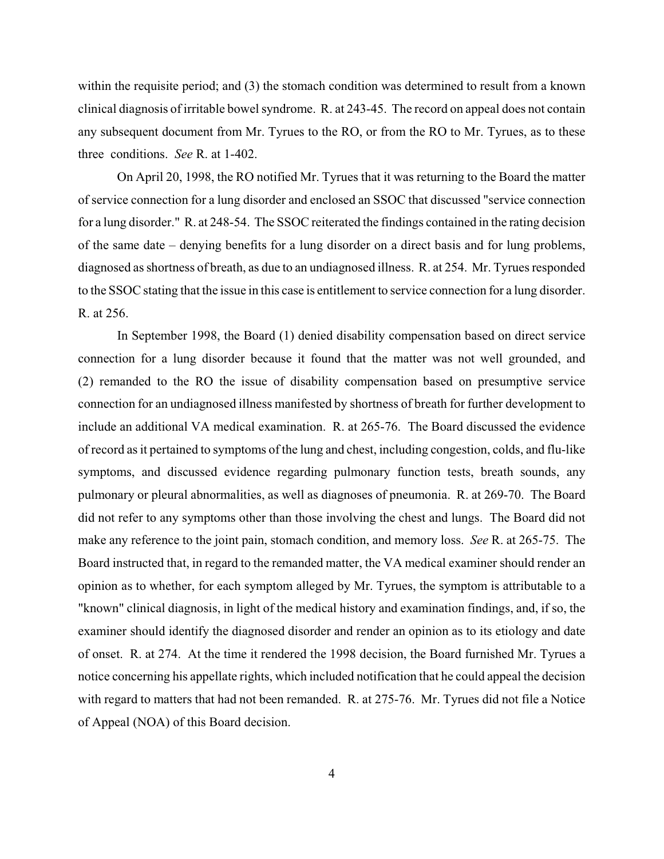within the requisite period; and (3) the stomach condition was determined to result from a known clinical diagnosis of irritable bowel syndrome. R. at 243-45. The record on appeal does not contain any subsequent document from Mr. Tyrues to the RO, or from the RO to Mr. Tyrues, as to these three conditions. *See* R. at 1-402.

On April 20, 1998, the RO notified Mr. Tyrues that it was returning to the Board the matter of service connection for a lung disorder and enclosed an SSOC that discussed "service connection for a lung disorder." R. at 248-54. The SSOC reiterated the findings contained in the rating decision of the same date – denying benefits for a lung disorder on a direct basis and for lung problems, diagnosed as shortness of breath, as due to an undiagnosed illness. R. at 254. Mr. Tyrues responded to the SSOC stating that the issue in this case is entitlement to service connection for a lung disorder. R. at 256.

In September 1998, the Board (1) denied disability compensation based on direct service connection for a lung disorder because it found that the matter was not well grounded, and (2) remanded to the RO the issue of disability compensation based on presumptive service connection for an undiagnosed illness manifested by shortness of breath for further development to include an additional VA medical examination. R. at 265-76. The Board discussed the evidence of record as it pertained to symptoms of the lung and chest, including congestion, colds, and flu-like symptoms, and discussed evidence regarding pulmonary function tests, breath sounds, any pulmonary or pleural abnormalities, as well as diagnoses of pneumonia. R. at 269-70. The Board did not refer to any symptoms other than those involving the chest and lungs. The Board did not make any reference to the joint pain, stomach condition, and memory loss. *See* R. at 265-75. The Board instructed that, in regard to the remanded matter, the VA medical examiner should render an opinion as to whether, for each symptom alleged by Mr. Tyrues, the symptom is attributable to a "known" clinical diagnosis, in light of the medical history and examination findings, and, if so, the examiner should identify the diagnosed disorder and render an opinion as to its etiology and date of onset. R. at 274. At the time it rendered the 1998 decision, the Board furnished Mr. Tyrues a notice concerning his appellate rights, which included notification that he could appeal the decision with regard to matters that had not been remanded. R. at 275-76. Mr. Tyrues did not file a Notice of Appeal (NOA) of this Board decision.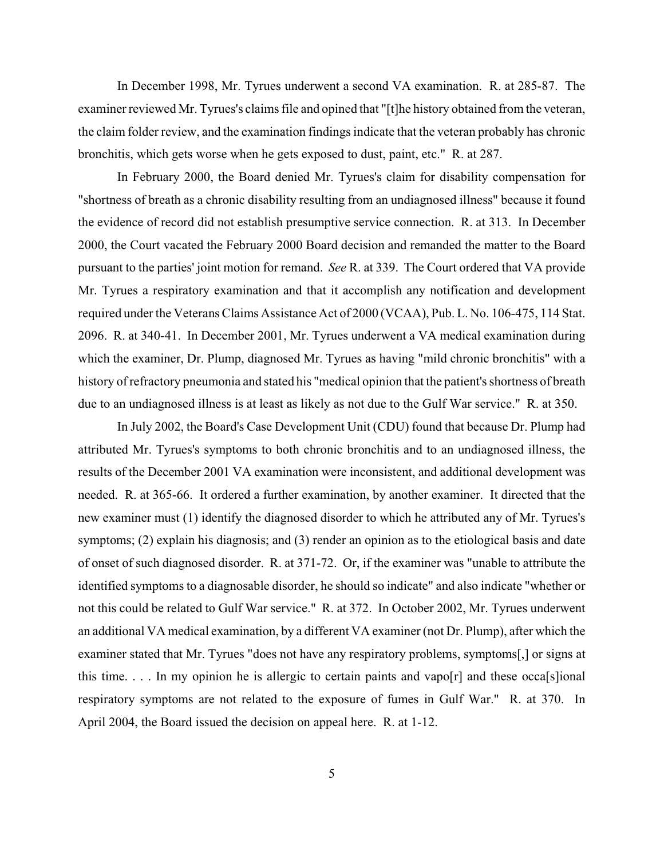In December 1998, Mr. Tyrues underwent a second VA examination. R. at 285-87. The examiner reviewed Mr. Tyrues's claims file and opined that "[t]he history obtained from the veteran, the claim folder review, and the examination findings indicate that the veteran probably has chronic bronchitis, which gets worse when he gets exposed to dust, paint, etc." R. at 287.

In February 2000, the Board denied Mr. Tyrues's claim for disability compensation for "shortness of breath as a chronic disability resulting from an undiagnosed illness" because it found the evidence of record did not establish presumptive service connection. R. at 313. In December 2000, the Court vacated the February 2000 Board decision and remanded the matter to the Board pursuant to the parties' joint motion for remand. *See* R. at 339. The Court ordered that VA provide Mr. Tyrues a respiratory examination and that it accomplish any notification and development required under the Veterans Claims Assistance Act of 2000 (VCAA), Pub. L. No. 106-475, 114 Stat. 2096. R. at 340-41. In December 2001, Mr. Tyrues underwent a VA medical examination during which the examiner, Dr. Plump, diagnosed Mr. Tyrues as having "mild chronic bronchitis" with a history of refractory pneumonia and stated his "medical opinion that the patient's shortness of breath due to an undiagnosed illness is at least as likely as not due to the Gulf War service." R. at 350.

In July 2002, the Board's Case Development Unit (CDU) found that because Dr. Plump had attributed Mr. Tyrues's symptoms to both chronic bronchitis and to an undiagnosed illness, the results of the December 2001 VA examination were inconsistent, and additional development was needed. R. at 365-66. It ordered a further examination, by another examiner. It directed that the new examiner must (1) identify the diagnosed disorder to which he attributed any of Mr. Tyrues's symptoms; (2) explain his diagnosis; and (3) render an opinion as to the etiological basis and date of onset of such diagnosed disorder. R. at 371-72. Or, if the examiner was "unable to attribute the identified symptoms to a diagnosable disorder, he should so indicate" and also indicate "whether or not this could be related to Gulf War service." R. at 372. In October 2002, Mr. Tyrues underwent an additional VA medical examination, by a different VA examiner (not Dr. Plump), after which the examiner stated that Mr. Tyrues "does not have any respiratory problems, symptoms[,] or signs at this time.  $\ldots$  In my opinion he is allergic to certain paints and vapo $[r]$  and these occass is then the is allergic to certain paints and vapo $[r]$  and these occass is the integrational respiratory symptoms are not related to the exposure of fumes in Gulf War." R. at 370. In April 2004, the Board issued the decision on appeal here. R. at 1-12.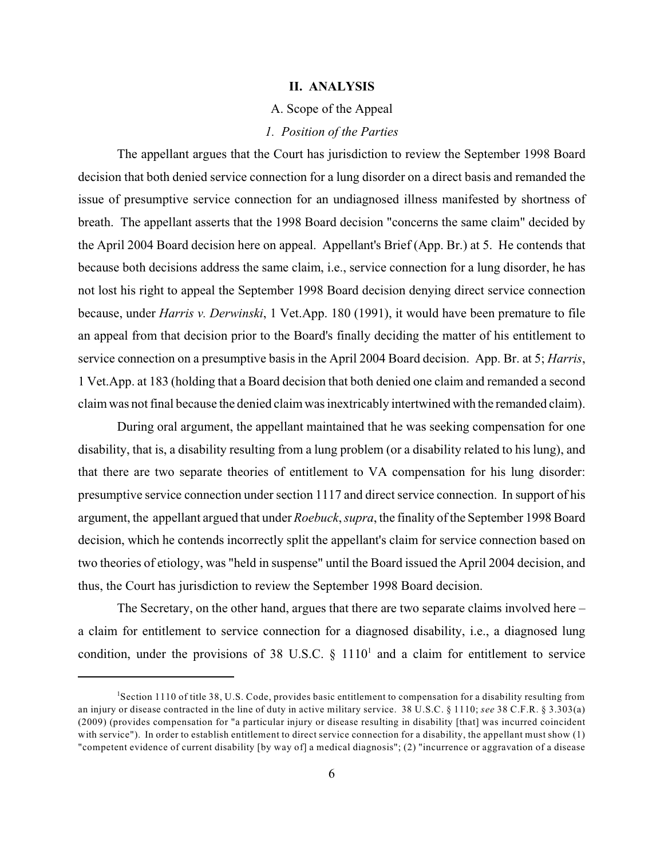### **II. ANALYSIS**

### A. Scope of the Appeal

# *1. Position of the Parties*

The appellant argues that the Court has jurisdiction to review the September 1998 Board decision that both denied service connection for a lung disorder on a direct basis and remanded the issue of presumptive service connection for an undiagnosed illness manifested by shortness of breath. The appellant asserts that the 1998 Board decision "concerns the same claim" decided by the April 2004 Board decision here on appeal. Appellant's Brief (App. Br.) at 5. He contends that because both decisions address the same claim, i.e., service connection for a lung disorder, he has not lost his right to appeal the September 1998 Board decision denying direct service connection because, under *Harris v. Derwinski*, 1 Vet.App. 180 (1991), it would have been premature to file an appeal from that decision prior to the Board's finally deciding the matter of his entitlement to service connection on a presumptive basis in the April 2004 Board decision. App. Br. at 5; *Harris*, 1 Vet.App. at 183 (holding that a Board decision that both denied one claim and remanded a second claim was not final because the denied claim was inextricably intertwined with the remanded claim).

During oral argument, the appellant maintained that he was seeking compensation for one disability, that is, a disability resulting from a lung problem (or a disability related to his lung), and that there are two separate theories of entitlement to VA compensation for his lung disorder: presumptive service connection under section 1117 and direct service connection. In support of his argument, the appellant argued that under *Roebuck*, *supra*, the finality of the September 1998 Board decision, which he contends incorrectly split the appellant's claim for service connection based on two theories of etiology, was "held in suspense" until the Board issued the April 2004 decision, and thus, the Court has jurisdiction to review the September 1998 Board decision.

The Secretary, on the other hand, argues that there are two separate claims involved here – a claim for entitlement to service connection for a diagnosed disability, i.e., a diagnosed lung condition, under the provisions of 38 U.S.C.  $\S$  1110<sup>1</sup> and a claim for entitlement to service

Section 1110 of title 38, U.S. Code, provides basic entitlement to compensation for a disability resulting from an injury or disease contracted in the line of duty in active military service. 38 U.S.C. § 1110; *see* 38 C.F.R. § 3.303(a) (2009) (provides compensation for "a particular injury or disease resulting in disability [that] was incurred coincident with service"). In order to establish entitlement to direct service connection for a disability, the appellant must show (1) "competent evidence of current disability [by way of] a medical diagnosis"; (2) "incurrence or aggravation of a disease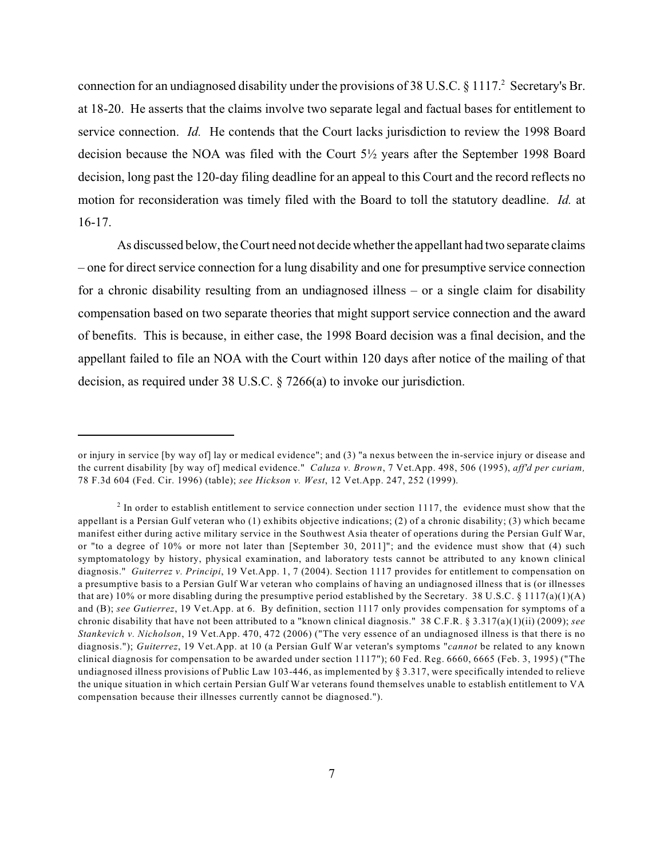connection for an undiagnosed disability under the provisions of 38 U.S.C.  $\S 1117$ . Secretary's Br. at 18-20. He asserts that the claims involve two separate legal and factual bases for entitlement to service connection. *Id.* He contends that the Court lacks jurisdiction to review the 1998 Board decision because the NOA was filed with the Court 5½ years after the September 1998 Board decision, long past the 120-day filing deadline for an appeal to this Court and the record reflects no motion for reconsideration was timely filed with the Board to toll the statutory deadline. *Id.* at 16-17.

As discussed below, the Court need not decide whether the appellant had two separate claims – one for direct service connection for a lung disability and one for presumptive service connection for a chronic disability resulting from an undiagnosed illness – or a single claim for disability compensation based on two separate theories that might support service connection and the award of benefits. This is because, in either case, the 1998 Board decision was a final decision, and the appellant failed to file an NOA with the Court within 120 days after notice of the mailing of that decision, as required under 38 U.S.C. § 7266(a) to invoke our jurisdiction.

or injury in service [by way of] lay or medical evidence"; and (3) "a nexus between the in-service injury or disease and the current disability [by way of] medical evidence." *Caluza v. Brown*, 7 Vet.App. 498, 506 (1995), *aff'd per curiam,* 78 F.3d 604 (Fed. Cir. 1996) (table); *see Hickson v. West*, 12 Vet.App. 247, 252 (1999).

 $<sup>2</sup>$  In order to establish entitlement to service connection under section 1117, the evidence must show that the</sup> appellant is a Persian Gulf veteran who (1) exhibits objective indications; (2) of a chronic disability; (3) which became manifest either during active military service in the Southwest Asia theater of operations during the Persian Gulf War, or "to a degree of 10% or more not later than [September 30, 2011]"; and the evidence must show that (4) such symptomatology by history, physical examination, and laboratory tests cannot be attributed to any known clinical diagnosis." *Guiterrez v. Principi*, 19 Vet.App. 1, 7 (2004). Section 1117 provides for entitlement to compensation on a presumptive basis to a Persian Gulf War veteran who complains of having an undiagnosed illness that is (or illnesses that are) 10% or more disabling during the presumptive period established by the Secretary. 38 U.S.C. § 1117(a)(1)(A) and (B); *see Gutierrez*, 19 Vet.App. at 6. By definition, section 1117 only provides compensation for symptoms of a chronic disability that have not been attributed to a "known clinical diagnosis." 38 C.F.R. § 3.317(a)(1)(ii) (2009); *see Stankevich v. Nicholson*, 19 Vet.App. 470, 472 (2006) ("The very essence of an undiagnosed illness is that there is no diagnosis."); *Guiterrez*, 19 Vet.App. at 10 (a Persian Gulf War veteran's symptoms "*cannot* be related to any known clinical diagnosis for compensation to be awarded under section 1117"); 60 Fed. Reg. 6660, 6665 (Feb. 3, 1995) ("The undiagnosed illness provisions of Public Law 103-446, as implemented by § 3.317, were specifically intended to relieve the unique situation in which certain Persian Gulf War veterans found themselves unable to establish entitlement to VA compensation because their illnesses currently cannot be diagnosed.").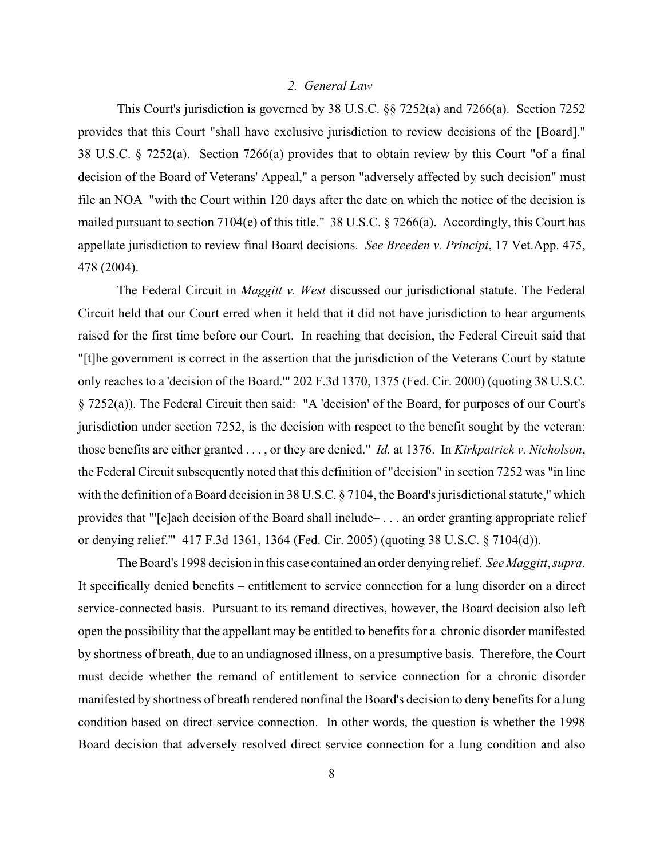### *2. General Law*

This Court's jurisdiction is governed by 38 U.S.C. §§ 7252(a) and 7266(a). Section 7252 provides that this Court "shall have exclusive jurisdiction to review decisions of the [Board]." 38 U.S.C. § 7252(a). Section 7266(a) provides that to obtain review by this Court "of a final decision of the Board of Veterans' Appeal," a person "adversely affected by such decision" must file an NOA "with the Court within 120 days after the date on which the notice of the decision is mailed pursuant to section 7104(e) of this title." 38 U.S.C. § 7266(a). Accordingly, this Court has appellate jurisdiction to review final Board decisions. *See Breeden v. Principi*, 17 Vet.App. 475, 478 (2004).

The Federal Circuit in *Maggitt v. West* discussed our jurisdictional statute. The Federal Circuit held that our Court erred when it held that it did not have jurisdiction to hear arguments raised for the first time before our Court. In reaching that decision, the Federal Circuit said that "[t]he government is correct in the assertion that the jurisdiction of the Veterans Court by statute only reaches to a 'decision of the Board.'" 202 F.3d 1370, 1375 (Fed. Cir. 2000) (quoting 38 U.S.C. § 7252(a)). The Federal Circuit then said: "A 'decision' of the Board, for purposes of our Court's jurisdiction under section 7252, is the decision with respect to the benefit sought by the veteran: those benefits are either granted . . . , or they are denied." *Id.* at 1376. In *Kirkpatrick v. Nicholson*, the Federal Circuit subsequently noted that this definition of "decision" in section 7252 was "in line with the definition of a Board decision in 38 U.S.C. § 7104, the Board's jurisdictional statute," which provides that "'[e]ach decision of the Board shall include– . . . an order granting appropriate relief or denying relief.'" 417 F.3d 1361, 1364 (Fed. Cir. 2005) (quoting 38 U.S.C. § 7104(d)).

The Board's 1998 decision in this case contained an order denying relief. *See Maggitt*, *supra*. It specifically denied benefits – entitlement to service connection for a lung disorder on a direct service-connected basis. Pursuant to its remand directives, however, the Board decision also left open the possibility that the appellant may be entitled to benefits for a chronic disorder manifested by shortness of breath, due to an undiagnosed illness, on a presumptive basis. Therefore, the Court must decide whether the remand of entitlement to service connection for a chronic disorder manifested by shortness of breath rendered nonfinal the Board's decision to deny benefits for a lung condition based on direct service connection. In other words, the question is whether the 1998 Board decision that adversely resolved direct service connection for a lung condition and also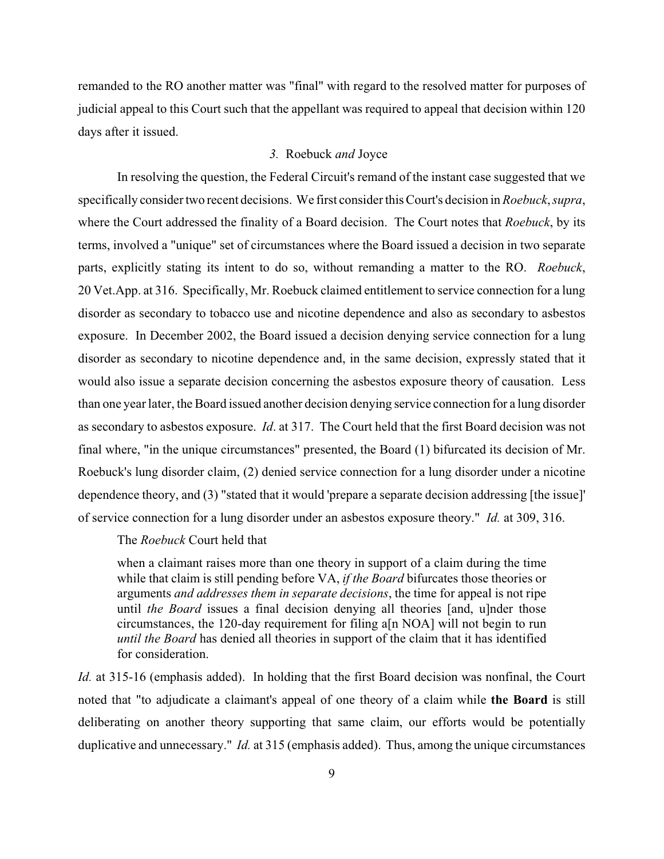remanded to the RO another matter was "final" with regard to the resolved matter for purposes of judicial appeal to this Court such that the appellant was required to appeal that decision within 120 days after it issued.

# *3.* Roebuck *and* Joyce

In resolving the question, the Federal Circuit's remand of the instant case suggested that we specifically consider two recent decisions. We first consider this Court's decision in *Roebuck*, *supra*, where the Court addressed the finality of a Board decision. The Court notes that *Roebuck*, by its terms, involved a "unique" set of circumstances where the Board issued a decision in two separate parts, explicitly stating its intent to do so, without remanding a matter to the RO. *Roebuck*, 20 Vet.App. at 316. Specifically, Mr. Roebuck claimed entitlement to service connection for a lung disorder as secondary to tobacco use and nicotine dependence and also as secondary to asbestos exposure. In December 2002, the Board issued a decision denying service connection for a lung disorder as secondary to nicotine dependence and, in the same decision, expressly stated that it would also issue a separate decision concerning the asbestos exposure theory of causation. Less than one year later, the Board issued another decision denying service connection for a lung disorder as secondary to asbestos exposure. *Id*. at 317. The Court held that the first Board decision was not final where, "in the unique circumstances" presented, the Board (1) bifurcated its decision of Mr. Roebuck's lung disorder claim, (2) denied service connection for a lung disorder under a nicotine dependence theory, and (3) "stated that it would 'prepare a separate decision addressing [the issue]' of service connection for a lung disorder under an asbestos exposure theory." *Id.* at 309, 316.

The *Roebuck* Court held that

when a claimant raises more than one theory in support of a claim during the time while that claim is still pending before VA, *if the Board* bifurcates those theories or arguments *and addresses them in separate decisions*, the time for appeal is not ripe until *the Board* issues a final decision denying all theories [and, u]nder those circumstances, the 120-day requirement for filing a[n NOA] will not begin to run *until the Board* has denied all theories in support of the claim that it has identified for consideration.

*Id.* at 315-16 (emphasis added). In holding that the first Board decision was nonfinal, the Court noted that "to adjudicate a claimant's appeal of one theory of a claim while **the Board** is still deliberating on another theory supporting that same claim, our efforts would be potentially duplicative and unnecessary." *Id.* at 315 (emphasis added). Thus, among the unique circumstances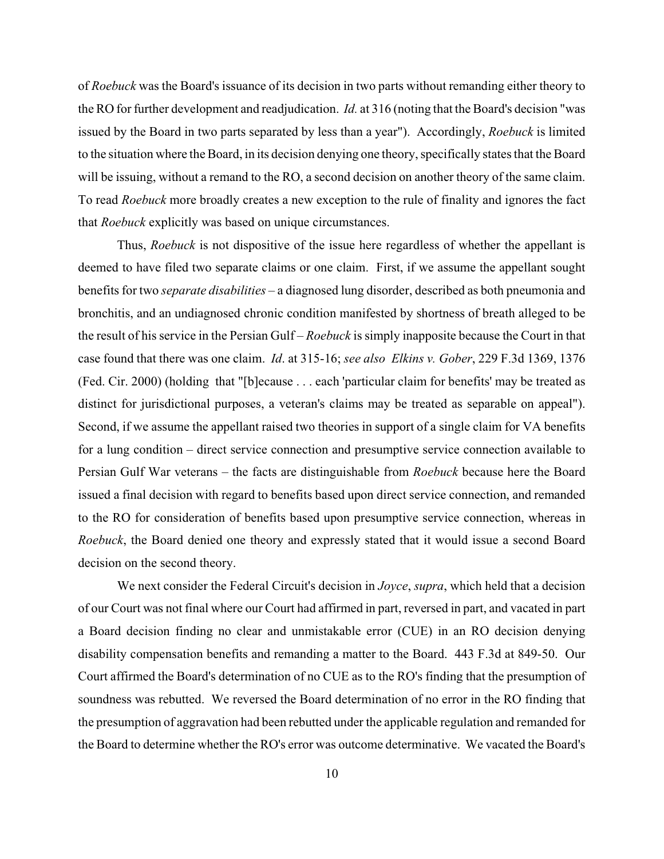of *Roebuck* was the Board's issuance of its decision in two parts without remanding either theory to the RO for further development and readjudication. *Id.* at 316 (noting that the Board's decision "was issued by the Board in two parts separated by less than a year"). Accordingly, *Roebuck* is limited to the situation where the Board, in its decision denying one theory, specifically states that the Board will be issuing, without a remand to the RO, a second decision on another theory of the same claim. To read *Roebuck* more broadly creates a new exception to the rule of finality and ignores the fact that *Roebuck* explicitly was based on unique circumstances.

Thus, *Roebuck* is not dispositive of the issue here regardless of whether the appellant is deemed to have filed two separate claims or one claim. First, if we assume the appellant sought benefits for two *separate disabilities* – a diagnosed lung disorder, described as both pneumonia and bronchitis, and an undiagnosed chronic condition manifested by shortness of breath alleged to be the result of his service in the Persian Gulf – *Roebuck* is simply inapposite because the Court in that case found that there was one claim. *Id*. at 315-16; *see also Elkins v. Gober*, 229 F.3d 1369, 1376 (Fed. Cir. 2000) (holding that "[b]ecause . . . each 'particular claim for benefits' may be treated as distinct for jurisdictional purposes, a veteran's claims may be treated as separable on appeal"). Second, if we assume the appellant raised two theories in support of a single claim for VA benefits for a lung condition – direct service connection and presumptive service connection available to Persian Gulf War veterans – the facts are distinguishable from *Roebuck* because here the Board issued a final decision with regard to benefits based upon direct service connection, and remanded to the RO for consideration of benefits based upon presumptive service connection, whereas in *Roebuck*, the Board denied one theory and expressly stated that it would issue a second Board decision on the second theory.

We next consider the Federal Circuit's decision in *Joyce*, *supra*, which held that a decision of our Court was not final where our Court had affirmed in part, reversed in part, and vacated in part a Board decision finding no clear and unmistakable error (CUE) in an RO decision denying disability compensation benefits and remanding a matter to the Board. 443 F.3d at 849-50. Our Court affirmed the Board's determination of no CUE as to the RO's finding that the presumption of soundness was rebutted. We reversed the Board determination of no error in the RO finding that the presumption of aggravation had been rebutted under the applicable regulation and remanded for the Board to determine whether the RO's error was outcome determinative. We vacated the Board's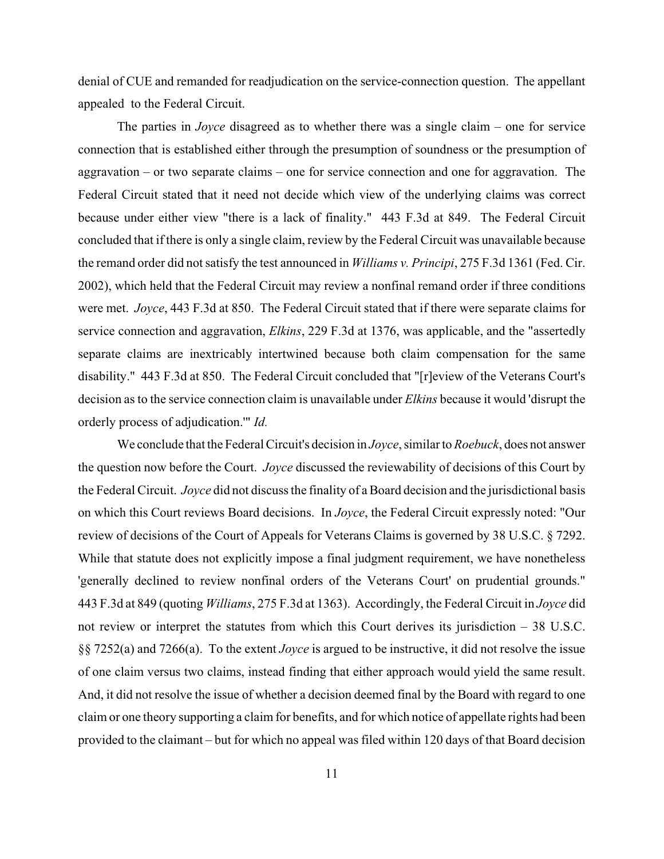denial of CUE and remanded for readjudication on the service-connection question. The appellant appealed to the Federal Circuit.

The parties in *Joyce* disagreed as to whether there was a single claim – one for service connection that is established either through the presumption of soundness or the presumption of aggravation – or two separate claims – one for service connection and one for aggravation. The Federal Circuit stated that it need not decide which view of the underlying claims was correct because under either view "there is a lack of finality." 443 F.3d at 849. The Federal Circuit concluded that if there is only a single claim, review by the Federal Circuit was unavailable because the remand order did not satisfy the test announced in *Williams v. Principi*, 275 F.3d 1361 (Fed. Cir. 2002), which held that the Federal Circuit may review a nonfinal remand order if three conditions were met. *Joyce*, 443 F.3d at 850. The Federal Circuit stated that if there were separate claims for service connection and aggravation, *Elkins*, 229 F.3d at 1376, was applicable, and the "assertedly separate claims are inextricably intertwined because both claim compensation for the same disability." 443 F.3d at 850. The Federal Circuit concluded that "[r]eview of the Veterans Court's decision as to the service connection claim is unavailable under *Elkins* because it would 'disrupt the orderly process of adjudication.'" *Id.*

We conclude that the Federal Circuit's decision in *Joyce*, similar to *Roebuck*, does not answer the question now before the Court. *Joyce* discussed the reviewability of decisions of this Court by the Federal Circuit. *Joyce* did not discuss the finality of a Board decision and the jurisdictional basis on which this Court reviews Board decisions. In *Joyce*, the Federal Circuit expressly noted: "Our review of decisions of the Court of Appeals for Veterans Claims is governed by 38 U.S.C. § 7292. While that statute does not explicitly impose a final judgment requirement, we have nonetheless 'generally declined to review nonfinal orders of the Veterans Court' on prudential grounds." 443 F.3d at 849 (quoting *Williams*, 275 F.3d at 1363). Accordingly, the Federal Circuit in *Joyce* did not review or interpret the statutes from which this Court derives its jurisdiction – 38 U.S.C. §§ 7252(a) and 7266(a). To the extent *Joyce* is argued to be instructive, it did not resolve the issue of one claim versus two claims, instead finding that either approach would yield the same result. And, it did not resolve the issue of whether a decision deemed final by the Board with regard to one claim or one theory supporting a claim for benefits, and for which notice of appellate rights had been provided to the claimant – but for which no appeal was filed within 120 days of that Board decision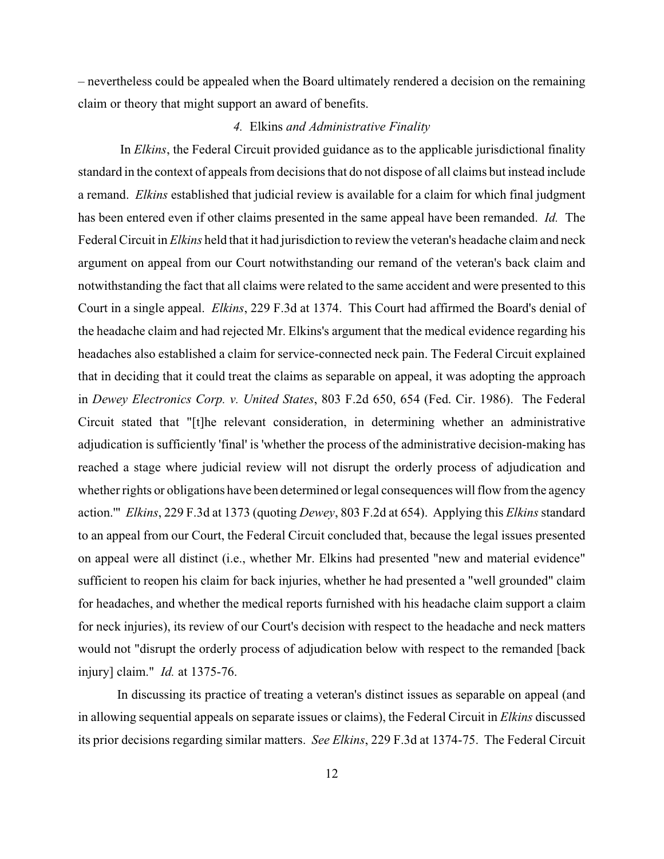– nevertheless could be appealed when the Board ultimately rendered a decision on the remaining claim or theory that might support an award of benefits.

# *4.* Elkins *and Administrative Finality*

 In *Elkins*, the Federal Circuit provided guidance as to the applicable jurisdictional finality standard in the context of appeals from decisions that do not dispose of all claims but instead include a remand. *Elkins* established that judicial review is available for a claim for which final judgment has been entered even if other claims presented in the same appeal have been remanded. *Id.* The Federal Circuit in *Elkins* held that it had jurisdiction to review the veteran's headache claim and neck argument on appeal from our Court notwithstanding our remand of the veteran's back claim and notwithstanding the fact that all claims were related to the same accident and were presented to this Court in a single appeal. *Elkins*, 229 F.3d at 1374. This Court had affirmed the Board's denial of the headache claim and had rejected Mr. Elkins's argument that the medical evidence regarding his headaches also established a claim for service-connected neck pain. The Federal Circuit explained that in deciding that it could treat the claims as separable on appeal, it was adopting the approach in *Dewey Electronics Corp. v. United States*, 803 F.2d 650, 654 (Fed. Cir. 1986). The Federal Circuit stated that "[t]he relevant consideration, in determining whether an administrative adjudication is sufficiently 'final' is 'whether the process of the administrative decision-making has reached a stage where judicial review will not disrupt the orderly process of adjudication and whether rights or obligations have been determined or legal consequences will flow from the agency action.'" *Elkins*, 229 F.3d at 1373 (quoting *Dewey*, 803 F.2d at 654). Applying this *Elkins* standard to an appeal from our Court, the Federal Circuit concluded that, because the legal issues presented on appeal were all distinct (i.e., whether Mr. Elkins had presented "new and material evidence" sufficient to reopen his claim for back injuries, whether he had presented a "well grounded" claim for headaches, and whether the medical reports furnished with his headache claim support a claim for neck injuries), its review of our Court's decision with respect to the headache and neck matters would not "disrupt the orderly process of adjudication below with respect to the remanded [back injury] claim." *Id.* at 1375-76.

In discussing its practice of treating a veteran's distinct issues as separable on appeal (and in allowing sequential appeals on separate issues or claims), the Federal Circuit in *Elkins* discussed its prior decisions regarding similar matters. *See Elkins*, 229 F.3d at 1374-75. The Federal Circuit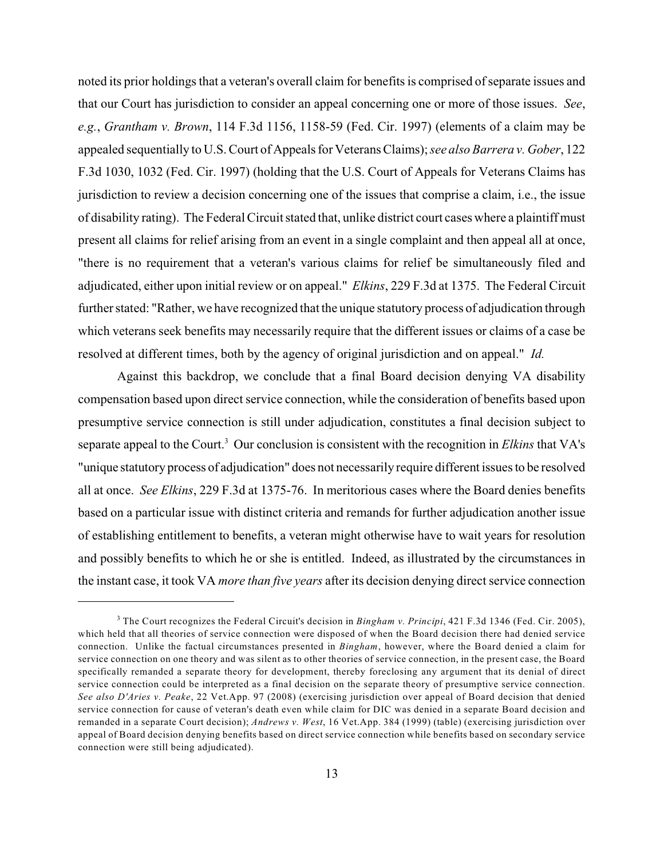noted its prior holdings that a veteran's overall claim for benefits is comprised of separate issues and that our Court has jurisdiction to consider an appeal concerning one or more of those issues. *See*, *e.g.*, *Grantham v. Brown*, 114 F.3d 1156, 1158-59 (Fed. Cir. 1997) (elements of a claim may be appealed sequentially to U.S. Court of Appeals for Veterans Claims);*see also Barrera v. Gober*, 122 F.3d 1030, 1032 (Fed. Cir. 1997) (holding that the U.S. Court of Appeals for Veterans Claims has jurisdiction to review a decision concerning one of the issues that comprise a claim, i.e., the issue of disability rating). The Federal Circuit stated that, unlike district court cases where a plaintiff must present all claims for relief arising from an event in a single complaint and then appeal all at once, "there is no requirement that a veteran's various claims for relief be simultaneously filed and adjudicated, either upon initial review or on appeal." *Elkins*, 229 F.3d at 1375. The Federal Circuit further stated: "Rather, we have recognized that the unique statutory process of adjudication through which veterans seek benefits may necessarily require that the different issues or claims of a case be resolved at different times, both by the agency of original jurisdiction and on appeal." *Id.*

Against this backdrop, we conclude that a final Board decision denying VA disability compensation based upon direct service connection, while the consideration of benefits based upon presumptive service connection is still under adjudication, constitutes a final decision subject to separate appeal to the Court.<sup>3</sup> Our conclusion is consistent with the recognition in *Elkins* that VA's "unique statutory process of adjudication" does not necessarily require different issues to be resolved all at once. *See Elkins*, 229 F.3d at 1375-76. In meritorious cases where the Board denies benefits based on a particular issue with distinct criteria and remands for further adjudication another issue of establishing entitlement to benefits, a veteran might otherwise have to wait years for resolution and possibly benefits to which he or she is entitled. Indeed, as illustrated by the circumstances in the instant case, it took VA *more than five years* after its decision denying direct service connection

<sup>&</sup>lt;sup>3</sup> The Court recognizes the Federal Circuit's decision in *Bingham v. Principi*, 421 F.3d 1346 (Fed. Cir. 2005), which held that all theories of service connection were disposed of when the Board decision there had denied service connection. Unlike the factual circumstances presented in *Bingham*, however, where the Board denied a claim for service connection on one theory and was silent as to other theories of service connection, in the present case, the Board specifically remanded a separate theory for development, thereby foreclosing any argument that its denial of direct service connection could be interpreted as a final decision on the separate theory of presumptive service connection. *See also D'Aries v. Peake*, 22 Vet.App. 97 (2008) (exercising jurisdiction over appeal of Board decision that denied service connection for cause of veteran's death even while claim for DIC was denied in a separate Board decision and remanded in a separate Court decision); *Andrews v. West*, 16 Vet.App. 384 (1999) (table) (exercising jurisdiction over appeal of Board decision denying benefits based on direct service connection while benefits based on secondary service connection were still being adjudicated).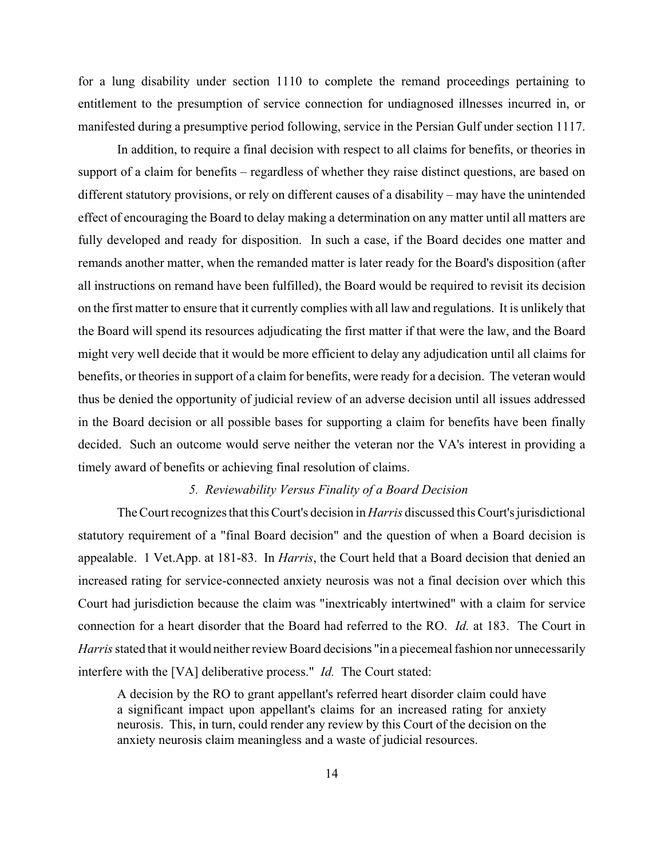for a lung disability under section 1110 to complete the remand proceedings pertaining to entitlement to the presumption of service connection for undiagnosed illnesses incurred in, or manifested during a presumptive period following, service in the Persian Gulf under section 1117.

In addition, to require a final decision with respect to all claims for benefits, or theories in support of a claim for benefits – regardless of whether they raise distinct questions, are based on different statutory provisions, or rely on different causes of a disability – may have the unintended effect of encouraging the Board to delay making a determination on any matter until all matters are fully developed and ready for disposition. In such a case, if the Board decides one matter and remands another matter, when the remanded matter is later ready for the Board's disposition (after all instructions on remand have been fulfilled), the Board would be required to revisit its decision on the first matter to ensure that it currently complies with all law and regulations. It is unlikely that the Board will spend its resources adjudicating the first matter if that were the law, and the Board might very well decide that it would be more efficient to delay any adjudication until all claims for benefits, or theories in support of a claim for benefits, were ready for a decision. The veteran would thus be denied the opportunity of judicial review of an adverse decision until all issues addressed in the Board decision or all possible bases for supporting a claim for benefits have been finally decided. Such an outcome would serve neither the veteran nor the VA's interest in providing a timely award of benefits or achieving final resolution of claims.

# *5. Reviewability Versus Finality of a Board Decision*

The Court recognizes that this Court's decision in *Harris* discussed this Court's jurisdictional statutory requirement of a "final Board decision" and the question of when a Board decision is appealable. 1 Vet.App. at 181-83. In *Harris*, the Court held that a Board decision that denied an increased rating for service-connected anxiety neurosis was not a final decision over which this Court had jurisdiction because the claim was "inextricably intertwined" with a claim for service connection for a heart disorder that the Board had referred to the RO. *Id.* at 183. The Court in *Harris* stated that it would neither review Board decisions "in a piecemeal fashion nor unnecessarily interfere with the [VA] deliberative process." *Id.* The Court stated:

A decision by the RO to grant appellant's referred heart disorder claim could have a significant impact upon appellant's claims for an increased rating for anxiety neurosis. This, in turn, could render any review by this Court of the decision on the anxiety neurosis claim meaningless and a waste of judicial resources.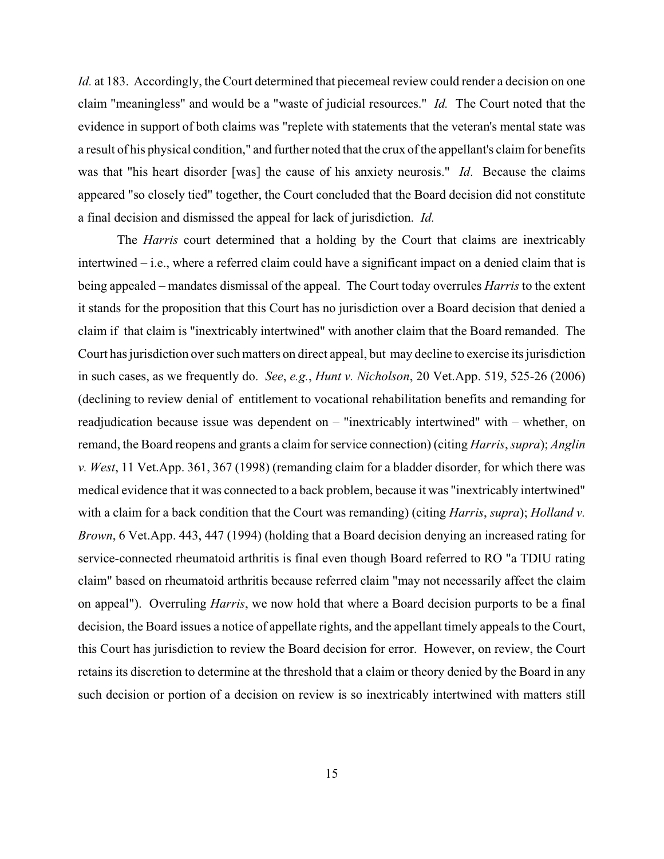*Id.* at 183. Accordingly, the Court determined that piecemeal review could render a decision on one claim "meaningless" and would be a "waste of judicial resources." *Id.* The Court noted that the evidence in support of both claims was "replete with statements that the veteran's mental state was a result of his physical condition," and further noted that the crux of the appellant's claim for benefits was that "his heart disorder [was] the cause of his anxiety neurosis." *Id*. Because the claims appeared "so closely tied" together, the Court concluded that the Board decision did not constitute a final decision and dismissed the appeal for lack of jurisdiction. *Id.*

The *Harris* court determined that a holding by the Court that claims are inextricably intertwined – i.e., where a referred claim could have a significant impact on a denied claim that is being appealed – mandates dismissal of the appeal. The Court today overrules *Harris* to the extent it stands for the proposition that this Court has no jurisdiction over a Board decision that denied a claim if that claim is "inextricably intertwined" with another claim that the Board remanded. The Court has jurisdiction over such matters on direct appeal, but may decline to exercise its jurisdiction in such cases, as we frequently do. *See*, *e.g.*, *Hunt v. Nicholson*, 20 Vet.App. 519, 525-26 (2006) (declining to review denial of entitlement to vocational rehabilitation benefits and remanding for readjudication because issue was dependent on – "inextricably intertwined" with – whether, on remand, the Board reopens and grants a claim for service connection) (citing *Harris*, *supra*); *Anglin v. West*, 11 Vet.App. 361, 367 (1998) (remanding claim for a bladder disorder, for which there was medical evidence that it was connected to a back problem, because it was "inextricably intertwined" with a claim for a back condition that the Court was remanding) (citing *Harris*, *supra*); *Holland v. Brown*, 6 Vet.App. 443, 447 (1994) (holding that a Board decision denying an increased rating for service-connected rheumatoid arthritis is final even though Board referred to RO "a TDIU rating claim" based on rheumatoid arthritis because referred claim "may not necessarily affect the claim on appeal"). Overruling *Harris*, we now hold that where a Board decision purports to be a final decision, the Board issues a notice of appellate rights, and the appellant timely appeals to the Court, this Court has jurisdiction to review the Board decision for error. However, on review, the Court retains its discretion to determine at the threshold that a claim or theory denied by the Board in any such decision or portion of a decision on review is so inextricably intertwined with matters still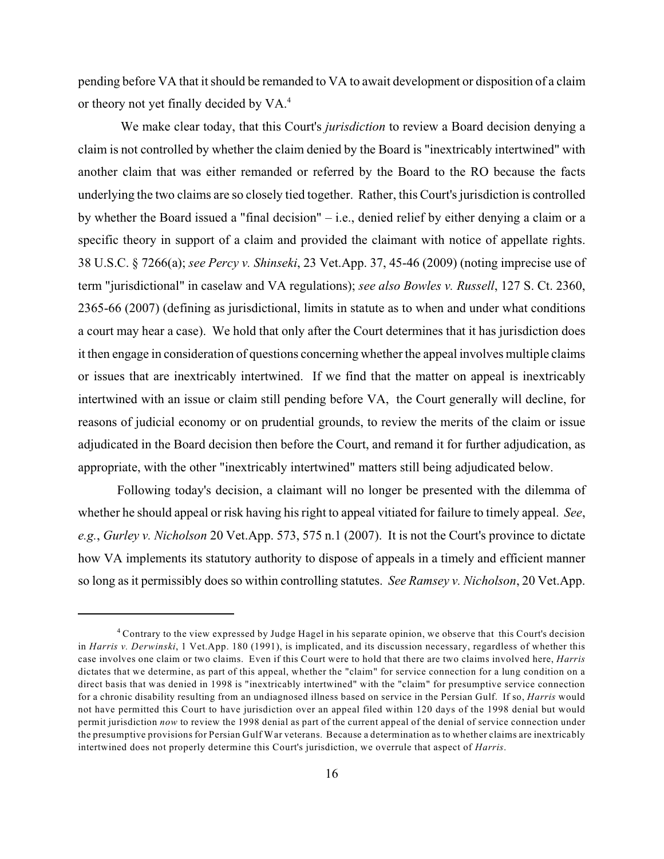pending before VA that it should be remanded to VA to await development or disposition of a claim or theory not yet finally decided by VA.<sup>4</sup>

 We make clear today, that this Court's *jurisdiction* to review a Board decision denying a claim is not controlled by whether the claim denied by the Board is "inextricably intertwined" with another claim that was either remanded or referred by the Board to the RO because the facts underlying the two claims are so closely tied together. Rather, this Court's jurisdiction is controlled by whether the Board issued a "final decision" – i.e., denied relief by either denying a claim or a specific theory in support of a claim and provided the claimant with notice of appellate rights. 38 U.S.C. § 7266(a); *see Percy v. Shinseki*, 23 Vet.App. 37, 45-46 (2009) (noting imprecise use of term "jurisdictional" in caselaw and VA regulations); *see also Bowles v. Russell*, 127 S. Ct. 2360, 2365-66 (2007) (defining as jurisdictional, limits in statute as to when and under what conditions a court may hear a case). We hold that only after the Court determines that it has jurisdiction does it then engage in consideration of questions concerning whether the appeal involves multiple claims or issues that are inextricably intertwined. If we find that the matter on appeal is inextricably intertwined with an issue or claim still pending before VA, the Court generally will decline, for reasons of judicial economy or on prudential grounds, to review the merits of the claim or issue adjudicated in the Board decision then before the Court, and remand it for further adjudication, as appropriate, with the other "inextricably intertwined" matters still being adjudicated below.

Following today's decision, a claimant will no longer be presented with the dilemma of whether he should appeal or risk having his right to appeal vitiated for failure to timely appeal. *See*, *e.g.*, *Gurley v. Nicholson* 20 Vet.App. 573, 575 n.1 (2007). It is not the Court's province to dictate how VA implements its statutory authority to dispose of appeals in a timely and efficient manner so long as it permissibly does so within controlling statutes. *See Ramsey v. Nicholson*, 20 Vet.App.

<sup>&</sup>lt;sup>4</sup> Contrary to the view expressed by Judge Hagel in his separate opinion, we observe that this Court's decision in *Harris v. Derwinski*, 1 Vet.App. 180 (1991), is implicated, and its discussion necessary, regardless of whether this case involves one claim or two claims. Even if this Court were to hold that there are two claims involved here, *Harris* dictates that we determine, as part of this appeal, whether the "claim" for service connection for a lung condition on a direct basis that was denied in 1998 is "inextricably intertwined" with the "claim" for presumptive service connection for a chronic disability resulting from an undiagnosed illness based on service in the Persian Gulf. If so, *Harris* would not have permitted this Court to have jurisdiction over an appeal filed within 120 days of the 1998 denial but would permit jurisdiction *now* to review the 1998 denial as part of the current appeal of the denial of service connection under the presumptive provisions for Persian Gulf War veterans. Because a determination as to whether claims are inextricably intertwined does not properly determine this Court's jurisdiction, we overrule that aspect of *Harris*.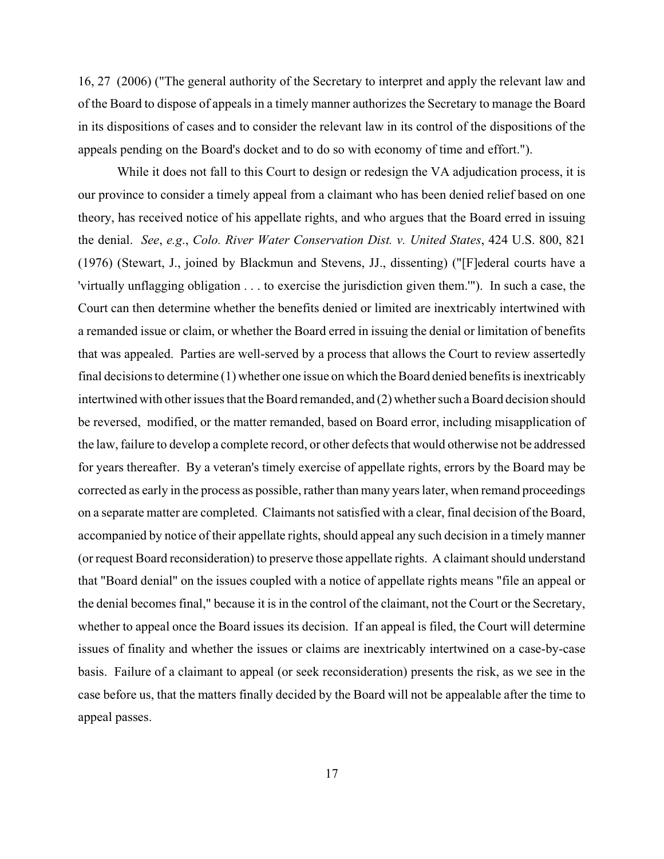16, 27 (2006) ("The general authority of the Secretary to interpret and apply the relevant law and of the Board to dispose of appeals in a timely manner authorizes the Secretary to manage the Board in its dispositions of cases and to consider the relevant law in its control of the dispositions of the appeals pending on the Board's docket and to do so with economy of time and effort.").

While it does not fall to this Court to design or redesign the VA adjudication process, it is our province to consider a timely appeal from a claimant who has been denied relief based on one theory, has received notice of his appellate rights, and who argues that the Board erred in issuing the denial. *See*, *e.g*., *Colo. River Water Conservation Dist. v. United States*, 424 U.S. 800, 821 (1976) (Stewart, J., joined by Blackmun and Stevens, JJ., dissenting) ("[F]ederal courts have a 'virtually unflagging obligation . . . to exercise the jurisdiction given them.'"). In such a case, the Court can then determine whether the benefits denied or limited are inextricably intertwined with a remanded issue or claim, or whether the Board erred in issuing the denial or limitation of benefits that was appealed. Parties are well-served by a process that allows the Court to review assertedly final decisions to determine (1) whether one issue on which the Board denied benefits is inextricably intertwined with other issues that the Board remanded, and (2) whether such a Board decision should be reversed, modified, or the matter remanded, based on Board error, including misapplication of the law, failure to develop a complete record, or other defects that would otherwise not be addressed for years thereafter. By a veteran's timely exercise of appellate rights, errors by the Board may be corrected as early in the process as possible, rather than many years later, when remand proceedings on a separate matter are completed. Claimants not satisfied with a clear, final decision of the Board, accompanied by notice of their appellate rights, should appeal any such decision in a timely manner (or request Board reconsideration) to preserve those appellate rights. A claimant should understand that "Board denial" on the issues coupled with a notice of appellate rights means "file an appeal or the denial becomes final," because it is in the control of the claimant, not the Court or the Secretary, whether to appeal once the Board issues its decision. If an appeal is filed, the Court will determine issues of finality and whether the issues or claims are inextricably intertwined on a case-by-case basis. Failure of a claimant to appeal (or seek reconsideration) presents the risk, as we see in the case before us, that the matters finally decided by the Board will not be appealable after the time to appeal passes.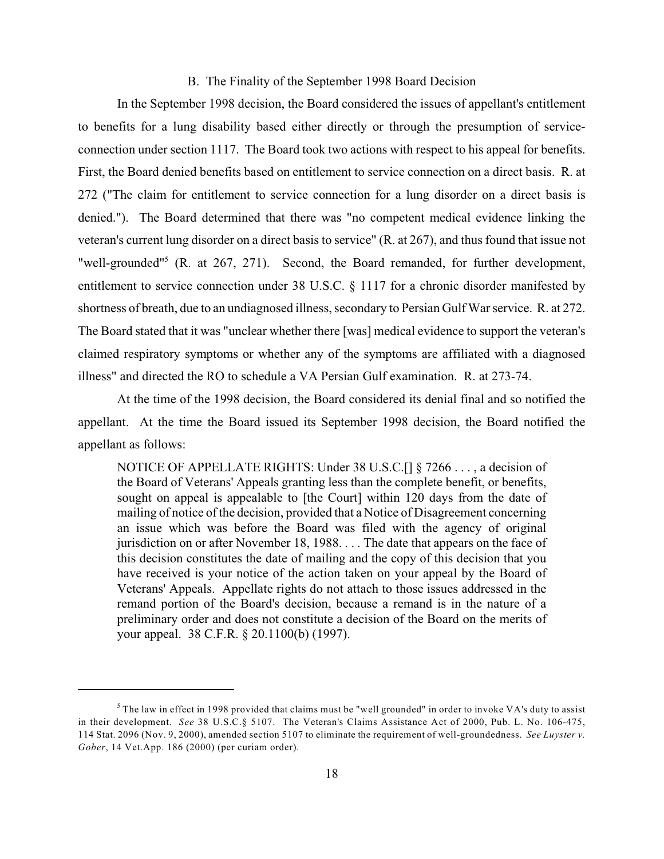### B. The Finality of the September 1998 Board Decision

In the September 1998 decision, the Board considered the issues of appellant's entitlement to benefits for a lung disability based either directly or through the presumption of serviceconnection under section 1117. The Board took two actions with respect to his appeal for benefits. First, the Board denied benefits based on entitlement to service connection on a direct basis. R. at 272 ("The claim for entitlement to service connection for a lung disorder on a direct basis is denied."). The Board determined that there was "no competent medical evidence linking the veteran's current lung disorder on a direct basis to service" (R. at 267), and thus found that issue not "well-grounded"<sup>5</sup> (R. at 267, 271). Second, the Board remanded, for further development, entitlement to service connection under 38 U.S.C. § 1117 for a chronic disorder manifested by shortness of breath, due to an undiagnosed illness, secondary to Persian Gulf War service. R. at 272. The Board stated that it was "unclear whether there [was] medical evidence to support the veteran's claimed respiratory symptoms or whether any of the symptoms are affiliated with a diagnosed illness" and directed the RO to schedule a VA Persian Gulf examination. R. at 273-74.

At the time of the 1998 decision, the Board considered its denial final and so notified the appellant. At the time the Board issued its September 1998 decision, the Board notified the appellant as follows:

NOTICE OF APPELLATE RIGHTS: Under 38 U.S.C.  $\lceil \frac{1}{2} \rceil$  { 7266 ..., a decision of the Board of Veterans' Appeals granting less than the complete benefit, or benefits, sought on appeal is appealable to [the Court] within 120 days from the date of mailing of notice of the decision, provided that a Notice of Disagreement concerning an issue which was before the Board was filed with the agency of original jurisdiction on or after November 18, 1988. . . . The date that appears on the face of this decision constitutes the date of mailing and the copy of this decision that you have received is your notice of the action taken on your appeal by the Board of Veterans' Appeals. Appellate rights do not attach to those issues addressed in the remand portion of the Board's decision, because a remand is in the nature of a preliminary order and does not constitute a decision of the Board on the merits of your appeal. 38 C.F.R. § 20.1100(b) (1997).

 $<sup>5</sup>$  The law in effect in 1998 provided that claims must be "well grounded" in order to invoke VA's duty to assist</sup> in their development. *See* 38 U.S.C.§ 5107. The Veteran's Claims Assistance Act of 2000, Pub. L. No. 106-475, 114 Stat. 2096 (Nov. 9, 2000), amended section 5107 to eliminate the requirement of well-groundedness. *See Luyster v. Gober*, 14 Vet.App. 186 (2000) (per curiam order).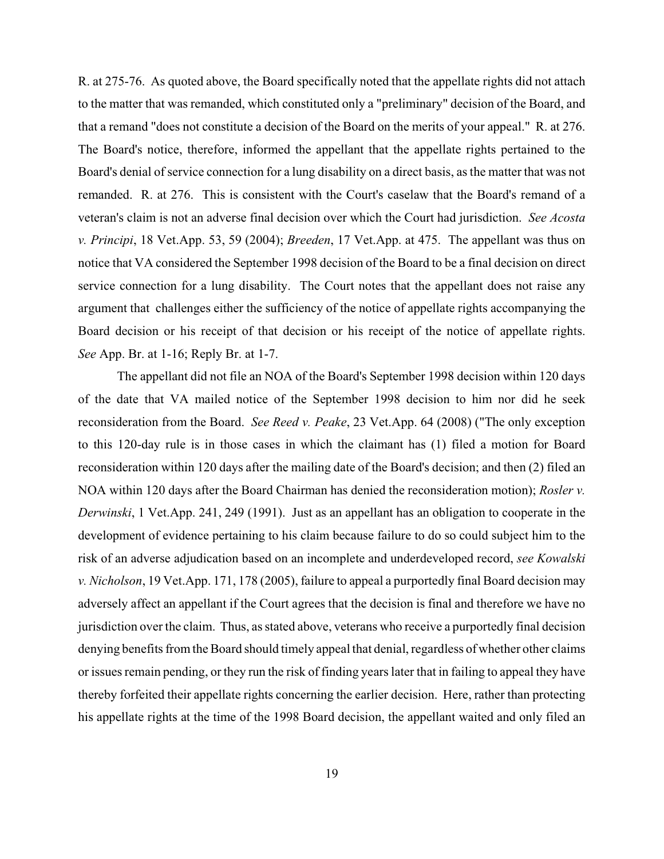R. at 275-76. As quoted above, the Board specifically noted that the appellate rights did not attach to the matter that was remanded, which constituted only a "preliminary" decision of the Board, and that a remand "does not constitute a decision of the Board on the merits of your appeal." R. at 276. The Board's notice, therefore, informed the appellant that the appellate rights pertained to the Board's denial of service connection for a lung disability on a direct basis, as the matter that was not remanded. R. at 276. This is consistent with the Court's caselaw that the Board's remand of a veteran's claim is not an adverse final decision over which the Court had jurisdiction. *See Acosta v. Principi*, 18 Vet.App. 53, 59 (2004); *Breeden*, 17 Vet.App. at 475. The appellant was thus on notice that VA considered the September 1998 decision of the Board to be a final decision on direct service connection for a lung disability. The Court notes that the appellant does not raise any argument that challenges either the sufficiency of the notice of appellate rights accompanying the Board decision or his receipt of that decision or his receipt of the notice of appellate rights. *See* App. Br. at 1-16; Reply Br. at 1-7.

The appellant did not file an NOA of the Board's September 1998 decision within 120 days of the date that VA mailed notice of the September 1998 decision to him nor did he seek reconsideration from the Board. *See Reed v. Peake*, 23 Vet.App. 64 (2008) ("The only exception to this 120-day rule is in those cases in which the claimant has (1) filed a motion for Board reconsideration within 120 days after the mailing date of the Board's decision; and then (2) filed an NOA within 120 days after the Board Chairman has denied the reconsideration motion); *Rosler v. Derwinski*, 1 Vet.App. 241, 249 (1991). Just as an appellant has an obligation to cooperate in the development of evidence pertaining to his claim because failure to do so could subject him to the risk of an adverse adjudication based on an incomplete and underdeveloped record, *see Kowalski v. Nicholson*, 19 Vet.App. 171, 178 (2005), failure to appeal a purportedly final Board decision may adversely affect an appellant if the Court agrees that the decision is final and therefore we have no jurisdiction over the claim. Thus, as stated above, veterans who receive a purportedly final decision denying benefits from the Board should timely appeal that denial, regardless of whether other claims or issues remain pending, or they run the risk of finding years later that in failing to appeal they have thereby forfeited their appellate rights concerning the earlier decision. Here, rather than protecting his appellate rights at the time of the 1998 Board decision, the appellant waited and only filed an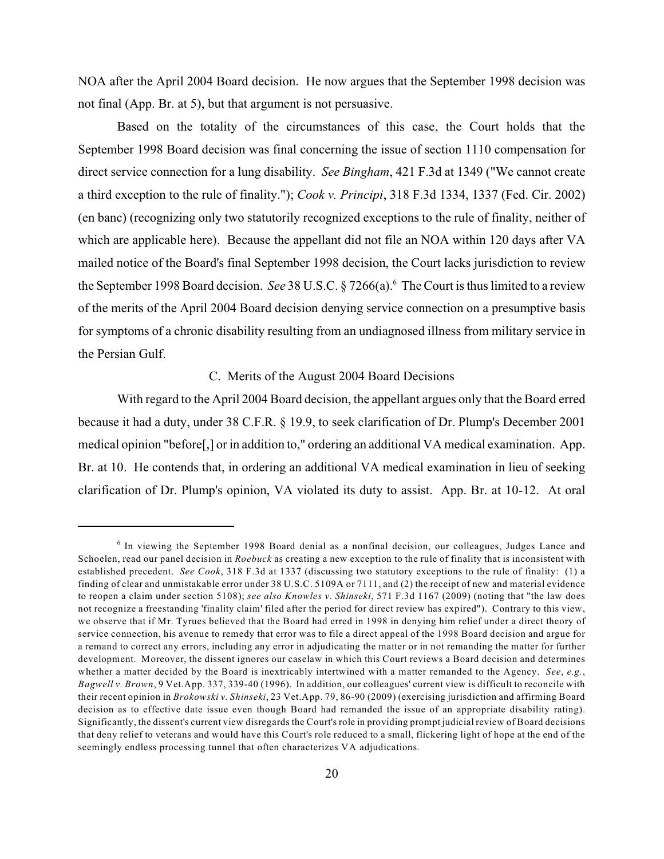NOA after the April 2004 Board decision. He now argues that the September 1998 decision was not final (App. Br. at 5), but that argument is not persuasive.

Based on the totality of the circumstances of this case, the Court holds that the September 1998 Board decision was final concerning the issue of section 1110 compensation for direct service connection for a lung disability. *See Bingham*, 421 F.3d at 1349 ("We cannot create a third exception to the rule of finality."); *Cook v. Principi*, 318 F.3d 1334, 1337 (Fed. Cir. 2002) (en banc) (recognizing only two statutorily recognized exceptions to the rule of finality, neither of which are applicable here). Because the appellant did not file an NOA within 120 days after VA mailed notice of the Board's final September 1998 decision, the Court lacks jurisdiction to review the September 1998 Board decision. *See* 38 U.S.C. § 7266(a).<sup>6</sup> The Court is thus limited to a review of the merits of the April 2004 Board decision denying service connection on a presumptive basis for symptoms of a chronic disability resulting from an undiagnosed illness from military service in the Persian Gulf.

C. Merits of the August 2004 Board Decisions

With regard to the April 2004 Board decision, the appellant argues only that the Board erred because it had a duty, under 38 C.F.R. § 19.9, to seek clarification of Dr. Plump's December 2001 medical opinion "before[,] or in addition to," ordering an additional VA medical examination. App. Br. at 10. He contends that, in ordering an additional VA medical examination in lieu of seeking clarification of Dr. Plump's opinion, VA violated its duty to assist. App. Br. at 10-12. At oral

 $6$  In viewing the September 1998 Board denial as a nonfinal decision, our colleagues, Judges Lance and Schoelen, read our panel decision in *Roebuck* as creating a new exception to the rule of finality that is inconsistent with established precedent. *See Cook*, 318 F.3d at 1337 (discussing two statutory exceptions to the rule of finality: (1) a finding of clear and unmistakable error under 38 U.S.C. 5109A or 7111, and (2) the receipt of new and material evidence to reopen a claim under section 5108); *see also Knowles v. Shinseki*, 571 F.3d 1167 (2009) (noting that "the law does not recognize a freestanding 'finality claim' filed after the period for direct review has expired"). Contrary to this view, we observe that if Mr. Tyrues believed that the Board had erred in 1998 in denying him relief under a direct theory of service connection, his avenue to remedy that error was to file a direct appeal of the 1998 Board decision and argue for a remand to correct any errors, including any error in adjudicating the matter or in not remanding the matter for further development. Moreover, the dissent ignores our caselaw in which this Court reviews a Board decision and determines whether a matter decided by the Board is inextricably intertwined with a matter remanded to the Agency. *See*, *e.g.*, *Bagwell v. Brown*, 9 Vet.App. 337, 339-40 (1996). In addition, our colleagues' current view is difficult to reconcile with their recent opinion in *Brokowski v. Shinseki*, 23 Vet.App. 79, 86-90 (2009) (exercising jurisdiction and affirming Board decision as to effective date issue even though Board had remanded the issue of an appropriate disability rating). Significantly, the dissent's current view disregards the Court's role in providing prompt judicial review of Board decisions that deny relief to veterans and would have this Court's role reduced to a small, flickering light of hope at the end of the seemingly endless processing tunnel that often characterizes VA adjudications.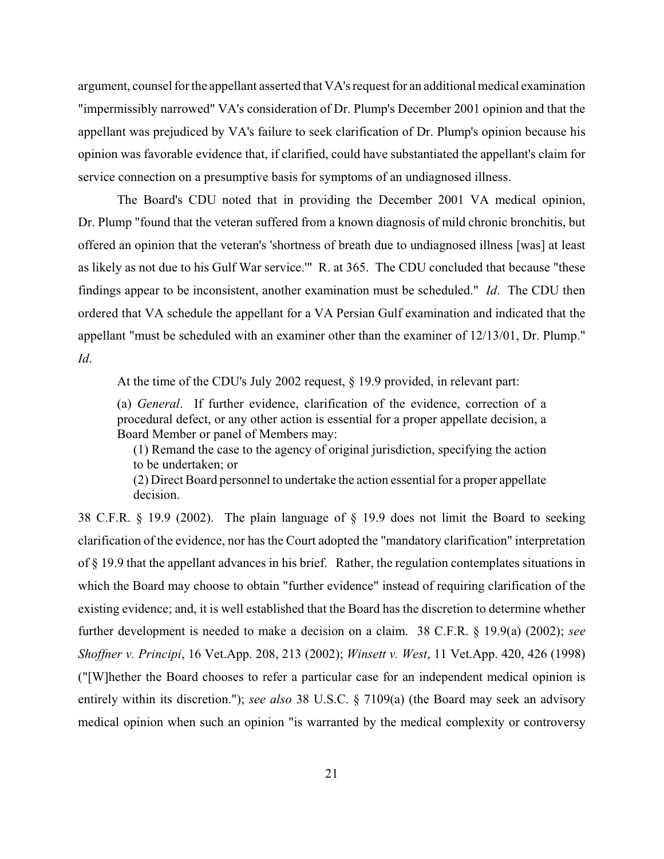argument, counsel for the appellant asserted that VA's request for an additional medical examination "impermissibly narrowed" VA's consideration of Dr. Plump's December 2001 opinion and that the appellant was prejudiced by VA's failure to seek clarification of Dr. Plump's opinion because his opinion was favorable evidence that, if clarified, could have substantiated the appellant's claim for service connection on a presumptive basis for symptoms of an undiagnosed illness.

The Board's CDU noted that in providing the December 2001 VA medical opinion, Dr. Plump "found that the veteran suffered from a known diagnosis of mild chronic bronchitis, but offered an opinion that the veteran's 'shortness of breath due to undiagnosed illness [was] at least as likely as not due to his Gulf War service.'" R. at 365. The CDU concluded that because "these findings appear to be inconsistent, another examination must be scheduled." *Id*. The CDU then ordered that VA schedule the appellant for a VA Persian Gulf examination and indicated that the appellant "must be scheduled with an examiner other than the examiner of 12/13/01, Dr. Plump." *Id*.

At the time of the CDU's July 2002 request, § 19.9 provided, in relevant part:

(a) *General*. If further evidence, clarification of the evidence, correction of a procedural defect, or any other action is essential for a proper appellate decision, a Board Member or panel of Members may:

(1) Remand the case to the agency of original jurisdiction, specifying the action to be undertaken; or

(2) Direct Board personnel to undertake the action essential for a proper appellate decision.

38 C.F.R. § 19.9 (2002). The plain language of § 19.9 does not limit the Board to seeking clarification of the evidence, nor has the Court adopted the "mandatory clarification" interpretation of § 19.9 that the appellant advances in his brief. Rather, the regulation contemplates situations in which the Board may choose to obtain "further evidence" instead of requiring clarification of the existing evidence; and, it is well established that the Board has the discretion to determine whether further development is needed to make a decision on a claim. 38 C.F.R. § 19.9(a) (2002); *see Shoffner v. Principi*, 16 Vet.App. 208, 213 (2002); *Winsett v. West*, 11 Vet.App. 420, 426 (1998) ("[W]hether the Board chooses to refer a particular case for an independent medical opinion is entirely within its discretion."); *see also* 38 U.S.C. § 7109(a) (the Board may seek an advisory medical opinion when such an opinion "is warranted by the medical complexity or controversy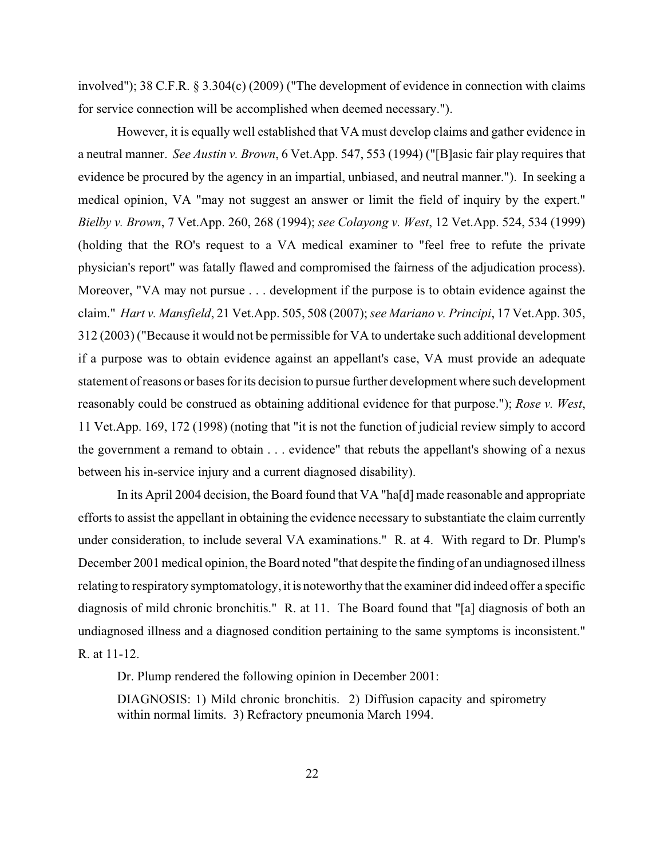involved"); 38 C.F.R. § 3.304(c) (2009) ("The development of evidence in connection with claims for service connection will be accomplished when deemed necessary.").

However, it is equally well established that VA must develop claims and gather evidence in a neutral manner. *See Austin v. Brown*, 6 Vet.App. 547, 553 (1994) ("[B]asic fair play requires that evidence be procured by the agency in an impartial, unbiased, and neutral manner."). In seeking a medical opinion, VA "may not suggest an answer or limit the field of inquiry by the expert." *Bielby v. Brown*, 7 Vet.App. 260, 268 (1994); *see Colayong v. West*, 12 Vet.App. 524, 534 (1999) (holding that the RO's request to a VA medical examiner to "feel free to refute the private physician's report" was fatally flawed and compromised the fairness of the adjudication process). Moreover, "VA may not pursue . . . development if the purpose is to obtain evidence against the claim." *Hart v. Mansfield*, 21 Vet.App. 505, 508 (2007);*see Mariano v. Principi*, 17 Vet.App. 305, 312 (2003) ("Because it would not be permissible for VA to undertake such additional development if a purpose was to obtain evidence against an appellant's case, VA must provide an adequate statement of reasons or bases for its decision to pursue further development where such development reasonably could be construed as obtaining additional evidence for that purpose."); *Rose v. West*, 11 Vet.App. 169, 172 (1998) (noting that "it is not the function of judicial review simply to accord the government a remand to obtain . . . evidence" that rebuts the appellant's showing of a nexus between his in-service injury and a current diagnosed disability).

In its April 2004 decision, the Board found that VA "ha[d] made reasonable and appropriate efforts to assist the appellant in obtaining the evidence necessary to substantiate the claim currently under consideration, to include several VA examinations." R. at 4. With regard to Dr. Plump's December 2001 medical opinion, the Board noted "that despite the finding of an undiagnosed illness relating to respiratory symptomatology, it is noteworthy that the examiner did indeed offer a specific diagnosis of mild chronic bronchitis." R. at 11. The Board found that "[a] diagnosis of both an undiagnosed illness and a diagnosed condition pertaining to the same symptoms is inconsistent." R. at 11-12.

Dr. Plump rendered the following opinion in December 2001:

DIAGNOSIS: 1) Mild chronic bronchitis. 2) Diffusion capacity and spirometry within normal limits. 3) Refractory pneumonia March 1994.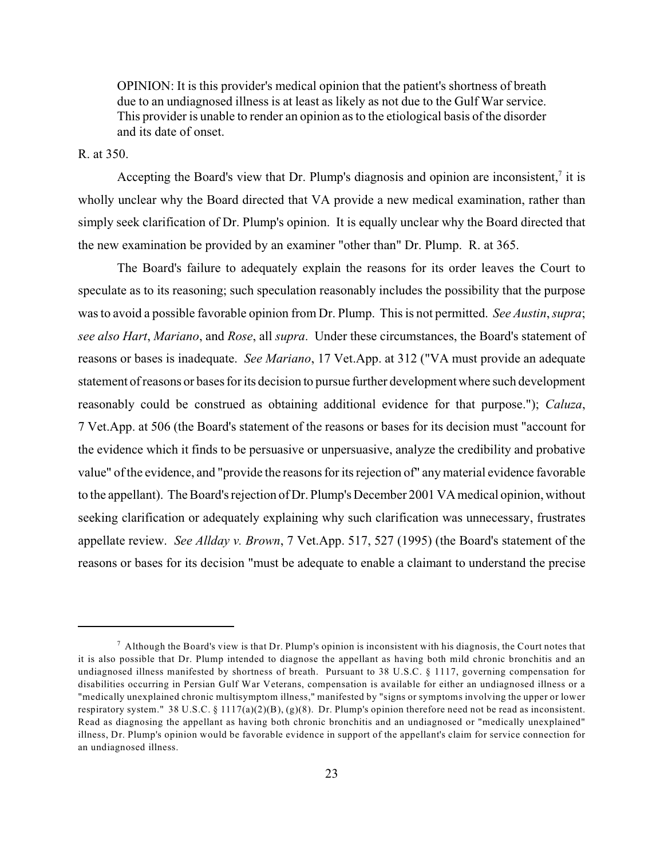OPINION: It is this provider's medical opinion that the patient's shortness of breath due to an undiagnosed illness is at least as likely as not due to the Gulf War service. This provider is unable to render an opinion as to the etiological basis of the disorder and its date of onset.

R. at 350.

Accepting the Board's view that Dr. Plump's diagnosis and opinion are inconsistent, $\frac{7}{1}$  it is wholly unclear why the Board directed that VA provide a new medical examination, rather than simply seek clarification of Dr. Plump's opinion. It is equally unclear why the Board directed that the new examination be provided by an examiner "other than" Dr. Plump. R. at 365.

The Board's failure to adequately explain the reasons for its order leaves the Court to speculate as to its reasoning; such speculation reasonably includes the possibility that the purpose was to avoid a possible favorable opinion from Dr. Plump. This is not permitted. *See Austin*, *supra*; *see also Hart*, *Mariano*, and *Rose*, all *supra*. Under these circumstances, the Board's statement of reasons or bases is inadequate. *See Mariano*, 17 Vet.App. at 312 ("VA must provide an adequate statement of reasons or bases for its decision to pursue further development where such development reasonably could be construed as obtaining additional evidence for that purpose."); *Caluza*, 7 Vet.App. at 506 (the Board's statement of the reasons or bases for its decision must "account for the evidence which it finds to be persuasive or unpersuasive, analyze the credibility and probative value" of the evidence, and "provide the reasons for its rejection of" any material evidence favorable to the appellant). The Board's rejection of Dr. Plump's December 2001 VA medical opinion, without seeking clarification or adequately explaining why such clarification was unnecessary, frustrates appellate review. *See Allday v. Brown*, 7 Vet.App. 517, 527 (1995) (the Board's statement of the reasons or bases for its decision "must be adequate to enable a claimant to understand the precise

 $^7$  Although the Board's view is that Dr. Plump's opinion is inconsistent with his diagnosis, the Court notes that it is also possible that Dr. Plump intended to diagnose the appellant as having both mild chronic bronchitis and an undiagnosed illness manifested by shortness of breath. Pursuant to 38 U.S.C. § 1117, governing compensation for disabilities occurring in Persian Gulf War Veterans, compensation is available for either an undiagnosed illness or a "medically unexplained chronic multisymptom illness," manifested by "signs or symptoms involving the upper or lower respiratory system." 38 U.S.C. § 1117(a)(2)(B), (g)(8). Dr. Plump's opinion therefore need not be read as inconsistent. Read as diagnosing the appellant as having both chronic bronchitis and an undiagnosed or "medically unexplained" illness, Dr. Plump's opinion would be favorable evidence in support of the appellant's claim for service connection for an undiagnosed illness.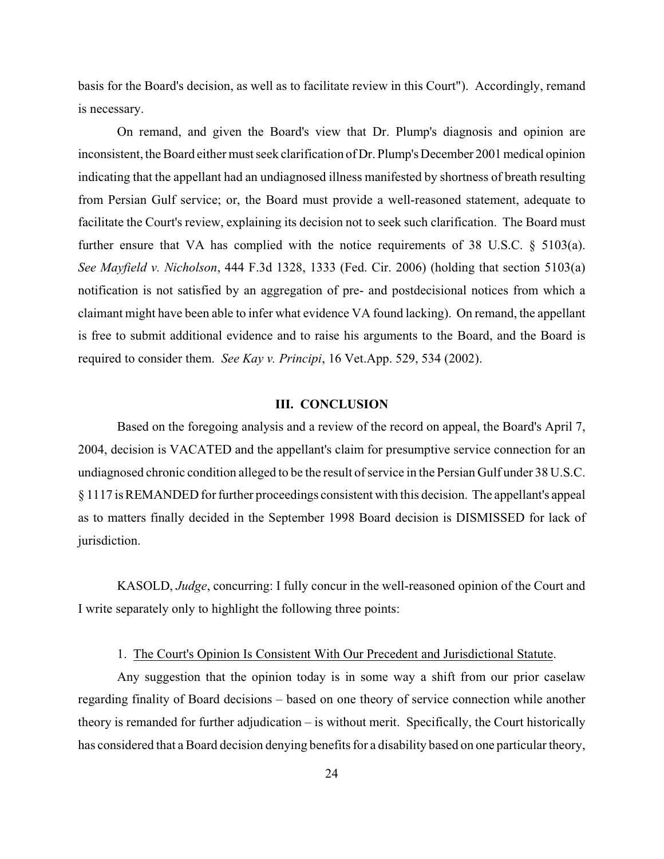basis for the Board's decision, as well as to facilitate review in this Court"). Accordingly, remand is necessary.

On remand, and given the Board's view that Dr. Plump's diagnosis and opinion are inconsistent, the Board either must seek clarification of Dr. Plump's December 2001 medical opinion indicating that the appellant had an undiagnosed illness manifested by shortness of breath resulting from Persian Gulf service; or, the Board must provide a well-reasoned statement, adequate to facilitate the Court's review, explaining its decision not to seek such clarification. The Board must further ensure that VA has complied with the notice requirements of 38 U.S.C. § 5103(a). *See Mayfield v. Nicholson*, 444 F.3d 1328, 1333 (Fed. Cir. 2006) (holding that section 5103(a) notification is not satisfied by an aggregation of pre- and postdecisional notices from which a claimant might have been able to infer what evidence VA found lacking). On remand, the appellant is free to submit additional evidence and to raise his arguments to the Board, and the Board is required to consider them. *See Kay v. Principi*, 16 Vet.App. 529, 534 (2002).

### **III. CONCLUSION**

Based on the foregoing analysis and a review of the record on appeal, the Board's April 7, 2004, decision is VACATED and the appellant's claim for presumptive service connection for an undiagnosed chronic condition alleged to be the result of service in the Persian Gulf under 38 U.S.C. § 1117 is REMANDED for further proceedings consistent with this decision. The appellant's appeal as to matters finally decided in the September 1998 Board decision is DISMISSED for lack of jurisdiction.

KASOLD, *Judge*, concurring: I fully concur in the well-reasoned opinion of the Court and I write separately only to highlight the following three points:

#### 1. The Court's Opinion Is Consistent With Our Precedent and Jurisdictional Statute.

Any suggestion that the opinion today is in some way a shift from our prior caselaw regarding finality of Board decisions – based on one theory of service connection while another theory is remanded for further adjudication – is without merit. Specifically, the Court historically has considered that a Board decision denying benefits for a disability based on one particular theory,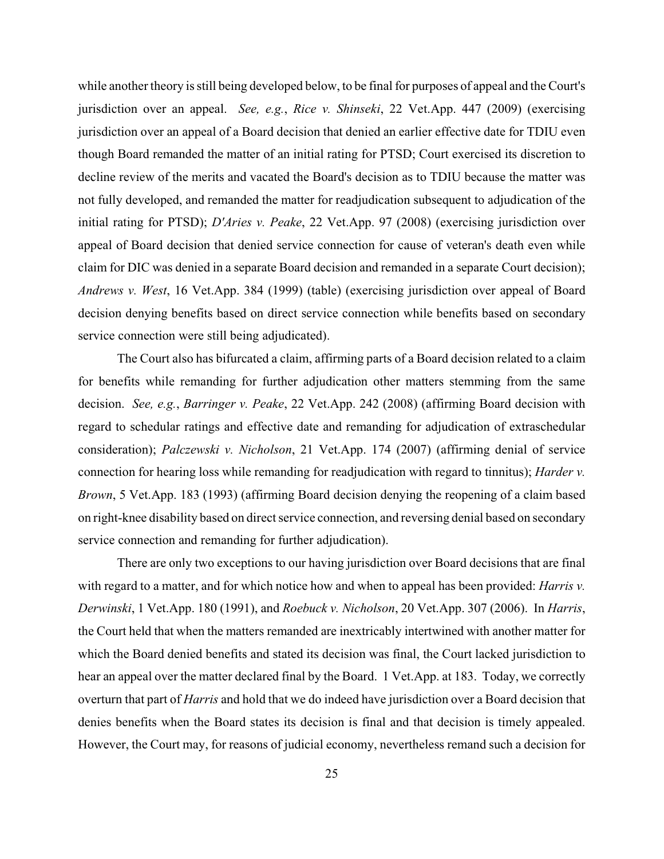while another theory is still being developed below, to be final for purposes of appeal and the Court's jurisdiction over an appeal. *See, e.g.*, *Rice v. Shinseki*, 22 Vet.App. 447 (2009) (exercising jurisdiction over an appeal of a Board decision that denied an earlier effective date for TDIU even though Board remanded the matter of an initial rating for PTSD; Court exercised its discretion to decline review of the merits and vacated the Board's decision as to TDIU because the matter was not fully developed, and remanded the matter for readjudication subsequent to adjudication of the initial rating for PTSD); *D'Aries v. Peake*, 22 Vet.App. 97 (2008) (exercising jurisdiction over appeal of Board decision that denied service connection for cause of veteran's death even while claim for DIC was denied in a separate Board decision and remanded in a separate Court decision); *Andrews v. West*, 16 Vet.App. 384 (1999) (table) (exercising jurisdiction over appeal of Board decision denying benefits based on direct service connection while benefits based on secondary service connection were still being adjudicated).

The Court also has bifurcated a claim, affirming parts of a Board decision related to a claim for benefits while remanding for further adjudication other matters stemming from the same decision. *See, e.g.*, *Barringer v. Peake*, 22 Vet.App. 242 (2008) (affirming Board decision with regard to schedular ratings and effective date and remanding for adjudication of extraschedular consideration); *Palczewski v. Nicholson*, 21 Vet.App. 174 (2007) (affirming denial of service connection for hearing loss while remanding for readjudication with regard to tinnitus); *Harder v. Brown*, 5 Vet.App. 183 (1993) (affirming Board decision denying the reopening of a claim based on right-knee disability based on direct service connection, and reversing denial based on secondary service connection and remanding for further adjudication).

There are only two exceptions to our having jurisdiction over Board decisions that are final with regard to a matter, and for which notice how and when to appeal has been provided: *Harris v. Derwinski*, 1 Vet.App. 180 (1991), and *Roebuck v. Nicholson*, 20 Vet.App. 307 (2006). In *Harris*, the Court held that when the matters remanded are inextricably intertwined with another matter for which the Board denied benefits and stated its decision was final, the Court lacked jurisdiction to hear an appeal over the matter declared final by the Board. 1 Vet.App. at 183. Today, we correctly overturn that part of *Harris* and hold that we do indeed have jurisdiction over a Board decision that denies benefits when the Board states its decision is final and that decision is timely appealed. However, the Court may, for reasons of judicial economy, nevertheless remand such a decision for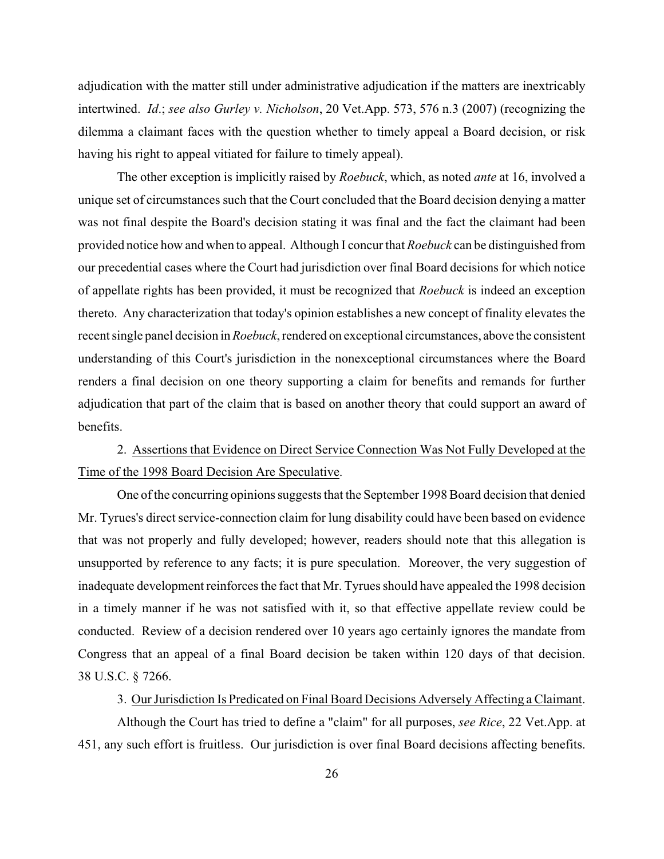adjudication with the matter still under administrative adjudication if the matters are inextricably intertwined. *Id*.; *see also Gurley v. Nicholson*, 20 Vet.App. 573, 576 n.3 (2007) (recognizing the dilemma a claimant faces with the question whether to timely appeal a Board decision, or risk having his right to appeal vitiated for failure to timely appeal).

The other exception is implicitly raised by *Roebuck*, which, as noted *ante* at 16, involved a unique set of circumstances such that the Court concluded that the Board decision denying a matter was not final despite the Board's decision stating it was final and the fact the claimant had been provided notice how and when to appeal. Although I concur that *Roebuck* can be distinguished from our precedential cases where the Court had jurisdiction over final Board decisions for which notice of appellate rights has been provided, it must be recognized that *Roebuck* is indeed an exception thereto. Any characterization that today's opinion establishes a new concept of finality elevates the recent single panel decision in *Roebuck*, rendered on exceptional circumstances, above the consistent understanding of this Court's jurisdiction in the nonexceptional circumstances where the Board renders a final decision on one theory supporting a claim for benefits and remands for further adjudication that part of the claim that is based on another theory that could support an award of benefits.

2. Assertions that Evidence on Direct Service Connection Was Not Fully Developed at the Time of the 1998 Board Decision Are Speculative.

One of the concurring opinions suggests that the September 1998 Board decision that denied Mr. Tyrues's direct service-connection claim for lung disability could have been based on evidence that was not properly and fully developed; however, readers should note that this allegation is unsupported by reference to any facts; it is pure speculation. Moreover, the very suggestion of inadequate development reinforces the fact that Mr. Tyrues should have appealed the 1998 decision in a timely manner if he was not satisfied with it, so that effective appellate review could be conducted. Review of a decision rendered over 10 years ago certainly ignores the mandate from Congress that an appeal of a final Board decision be taken within 120 days of that decision. 38 U.S.C. § 7266.

3. Our Jurisdiction Is Predicated on Final Board Decisions Adversely Affecting a Claimant.

Although the Court has tried to define a "claim" for all purposes, *see Rice*, 22 Vet.App. at 451, any such effort is fruitless. Our jurisdiction is over final Board decisions affecting benefits.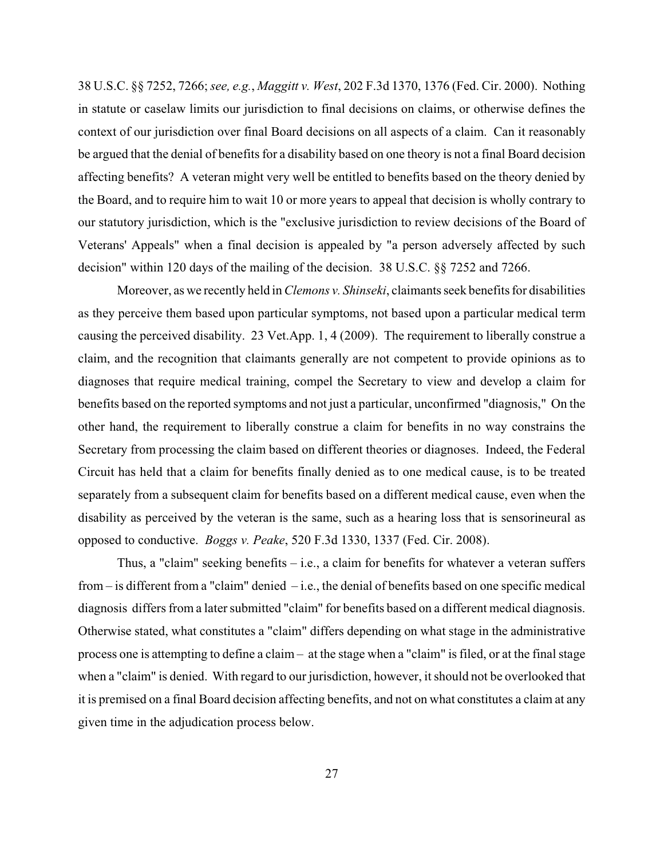38 U.S.C. §§ 7252, 7266; *see, e.g.*, *Maggitt v. West*, 202 F.3d 1370, 1376 (Fed. Cir. 2000). Nothing in statute or caselaw limits our jurisdiction to final decisions on claims, or otherwise defines the context of our jurisdiction over final Board decisions on all aspects of a claim. Can it reasonably be argued that the denial of benefits for a disability based on one theory is not a final Board decision affecting benefits? A veteran might very well be entitled to benefits based on the theory denied by the Board, and to require him to wait 10 or more years to appeal that decision is wholly contrary to our statutory jurisdiction, which is the "exclusive jurisdiction to review decisions of the Board of Veterans' Appeals" when a final decision is appealed by "a person adversely affected by such decision" within 120 days of the mailing of the decision. 38 U.S.C. §§ 7252 and 7266.

Moreover, as we recently held in *Clemons v. Shinseki*, claimants seek benefits for disabilities as they perceive them based upon particular symptoms, not based upon a particular medical term causing the perceived disability. 23 Vet.App. 1, 4 (2009). The requirement to liberally construe a claim, and the recognition that claimants generally are not competent to provide opinions as to diagnoses that require medical training, compel the Secretary to view and develop a claim for benefits based on the reported symptoms and not just a particular, unconfirmed "diagnosis," On the other hand, the requirement to liberally construe a claim for benefits in no way constrains the Secretary from processing the claim based on different theories or diagnoses. Indeed, the Federal Circuit has held that a claim for benefits finally denied as to one medical cause, is to be treated separately from a subsequent claim for benefits based on a different medical cause, even when the disability as perceived by the veteran is the same, such as a hearing loss that is sensorineural as opposed to conductive. *Boggs v. Peake*, 520 F.3d 1330, 1337 (Fed. Cir. 2008).

Thus, a "claim" seeking benefits  $-$  i.e., a claim for benefits for whatever a veteran suffers from – is different from a "claim" denied – i.e., the denial of benefits based on one specific medical diagnosis differs from a later submitted "claim" for benefits based on a different medical diagnosis. Otherwise stated, what constitutes a "claim" differs depending on what stage in the administrative process one is attempting to define a claim – at the stage when a "claim" is filed, or at the final stage when a "claim" is denied. With regard to our jurisdiction, however, it should not be overlooked that it is premised on a final Board decision affecting benefits, and not on what constitutes a claim at any given time in the adjudication process below.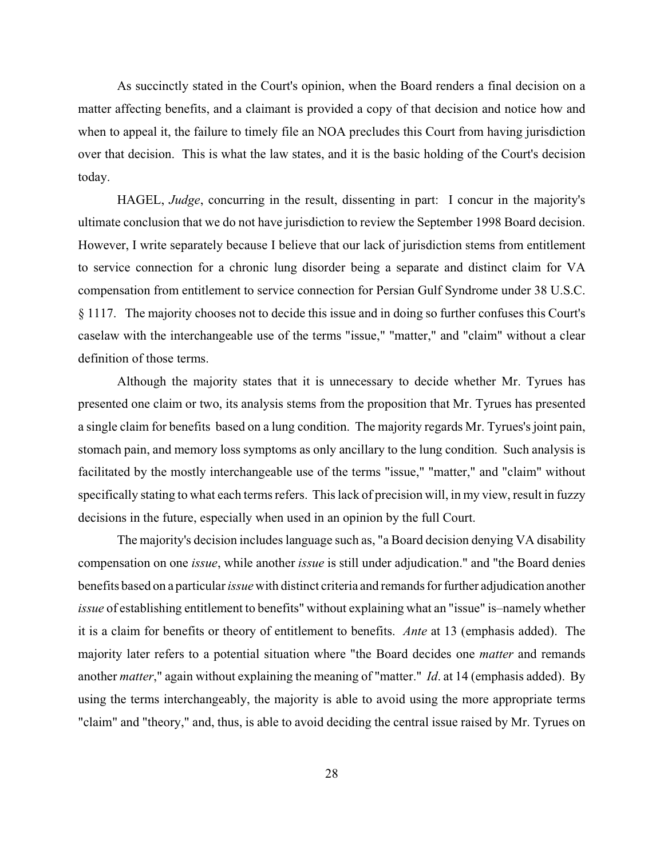As succinctly stated in the Court's opinion, when the Board renders a final decision on a matter affecting benefits, and a claimant is provided a copy of that decision and notice how and when to appeal it, the failure to timely file an NOA precludes this Court from having jurisdiction over that decision. This is what the law states, and it is the basic holding of the Court's decision today.

HAGEL, *Judge*, concurring in the result, dissenting in part: I concur in the majority's ultimate conclusion that we do not have jurisdiction to review the September 1998 Board decision. However, I write separately because I believe that our lack of jurisdiction stems from entitlement to service connection for a chronic lung disorder being a separate and distinct claim for VA compensation from entitlement to service connection for Persian Gulf Syndrome under 38 U.S.C. § 1117. The majority chooses not to decide this issue and in doing so further confuses this Court's caselaw with the interchangeable use of the terms "issue," "matter," and "claim" without a clear definition of those terms.

Although the majority states that it is unnecessary to decide whether Mr. Tyrues has presented one claim or two, its analysis stems from the proposition that Mr. Tyrues has presented a single claim for benefits based on a lung condition. The majority regards Mr. Tyrues's joint pain, stomach pain, and memory loss symptoms as only ancillary to the lung condition. Such analysis is facilitated by the mostly interchangeable use of the terms "issue," "matter," and "claim" without specifically stating to what each terms refers. This lack of precision will, in my view, result in fuzzy decisions in the future, especially when used in an opinion by the full Court.

The majority's decision includes language such as, "a Board decision denying VA disability compensation on one *issue*, while another *issue* is still under adjudication." and "the Board denies benefits based on a particular*issue* with distinct criteria and remands for further adjudication another *issue* of establishing entitlement to benefits" without explaining what an "issue" is–namely whether it is a claim for benefits or theory of entitlement to benefits. *Ante* at 13 (emphasis added). The majority later refers to a potential situation where "the Board decides one *matter* and remands another *matter*," again without explaining the meaning of "matter." *Id*. at 14 (emphasis added). By using the terms interchangeably, the majority is able to avoid using the more appropriate terms "claim" and "theory," and, thus, is able to avoid deciding the central issue raised by Mr. Tyrues on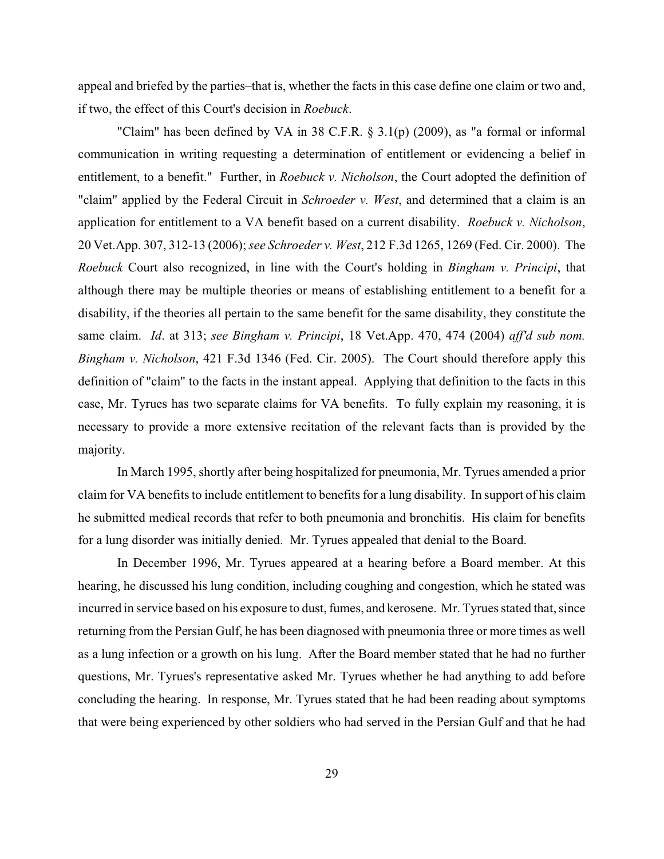appeal and briefed by the parties–that is, whether the facts in this case define one claim or two and, if two, the effect of this Court's decision in *Roebuck*.

"Claim" has been defined by VA in 38 C.F.R. § 3.1(p) (2009), as "a formal or informal communication in writing requesting a determination of entitlement or evidencing a belief in entitlement, to a benefit." Further, in *Roebuck v. Nicholson*, the Court adopted the definition of "claim" applied by the Federal Circuit in *Schroeder v. West*, and determined that a claim is an application for entitlement to a VA benefit based on a current disability. *Roebuck v. Nicholson*, 20 Vet.App. 307, 312-13 (2006); *see Schroeder v. West*, 212 F.3d 1265, 1269 (Fed. Cir. 2000). The *Roebuck* Court also recognized, in line with the Court's holding in *Bingham v. Principi*, that although there may be multiple theories or means of establishing entitlement to a benefit for a disability, if the theories all pertain to the same benefit for the same disability, they constitute the same claim. *Id*. at 313; *see Bingham v. Principi*, 18 Vet.App. 470, 474 (2004) *aff'd sub nom. Bingham v. Nicholson*, 421 F.3d 1346 (Fed. Cir. 2005). The Court should therefore apply this definition of "claim" to the facts in the instant appeal. Applying that definition to the facts in this case, Mr. Tyrues has two separate claims for VA benefits. To fully explain my reasoning, it is necessary to provide a more extensive recitation of the relevant facts than is provided by the majority.

In March 1995, shortly after being hospitalized for pneumonia, Mr. Tyrues amended a prior claim for VA benefits to include entitlement to benefits for a lung disability. In support of his claim he submitted medical records that refer to both pneumonia and bronchitis. His claim for benefits for a lung disorder was initially denied. Mr. Tyrues appealed that denial to the Board.

In December 1996, Mr. Tyrues appeared at a hearing before a Board member. At this hearing, he discussed his lung condition, including coughing and congestion, which he stated was incurred in service based on his exposure to dust, fumes, and kerosene. Mr. Tyrues stated that, since returning from the Persian Gulf, he has been diagnosed with pneumonia three or more times as well as a lung infection or a growth on his lung. After the Board member stated that he had no further questions, Mr. Tyrues's representative asked Mr. Tyrues whether he had anything to add before concluding the hearing. In response, Mr. Tyrues stated that he had been reading about symptoms that were being experienced by other soldiers who had served in the Persian Gulf and that he had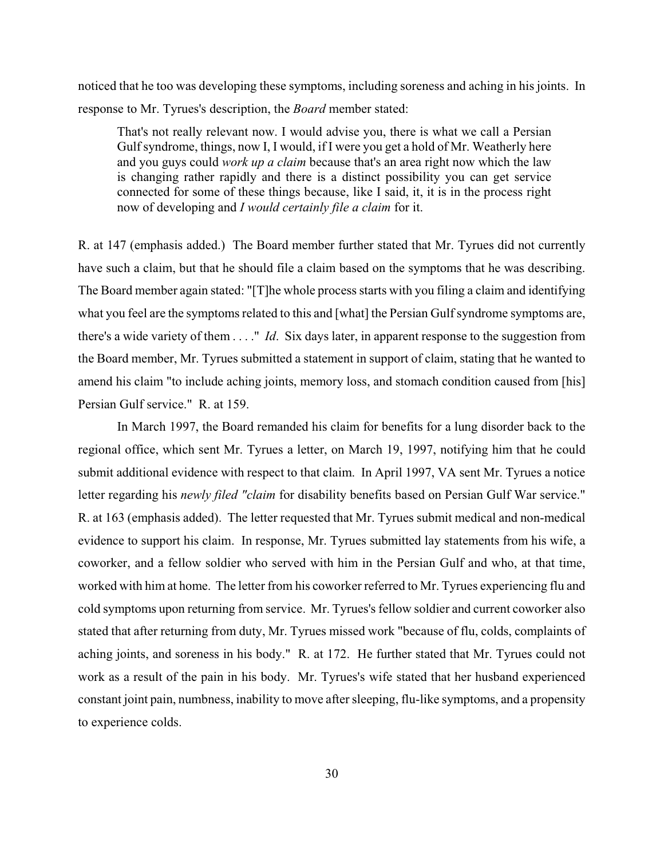noticed that he too was developing these symptoms, including soreness and aching in his joints. In response to Mr. Tyrues's description, the *Board* member stated:

That's not really relevant now. I would advise you, there is what we call a Persian Gulf syndrome, things, now I, I would, if I were you get a hold of Mr. Weatherly here and you guys could *work up a claim* because that's an area right now which the law is changing rather rapidly and there is a distinct possibility you can get service connected for some of these things because, like I said, it, it is in the process right now of developing and *I would certainly file a claim* for it.

R. at 147 (emphasis added.) The Board member further stated that Mr. Tyrues did not currently have such a claim, but that he should file a claim based on the symptoms that he was describing. The Board member again stated: "[T]he whole process starts with you filing a claim and identifying what you feel are the symptoms related to this and [what] the Persian Gulf syndrome symptoms are, there's a wide variety of them . . . ." *Id*. Six days later, in apparent response to the suggestion from the Board member, Mr. Tyrues submitted a statement in support of claim, stating that he wanted to amend his claim "to include aching joints, memory loss, and stomach condition caused from [his] Persian Gulf service." R. at 159.

In March 1997, the Board remanded his claim for benefits for a lung disorder back to the regional office, which sent Mr. Tyrues a letter, on March 19, 1997, notifying him that he could submit additional evidence with respect to that claim. In April 1997, VA sent Mr. Tyrues a notice letter regarding his *newly filed "claim* for disability benefits based on Persian Gulf War service." R. at 163 (emphasis added). The letter requested that Mr. Tyrues submit medical and non-medical evidence to support his claim. In response, Mr. Tyrues submitted lay statements from his wife, a coworker, and a fellow soldier who served with him in the Persian Gulf and who, at that time, worked with him at home. The letter from his coworker referred to Mr. Tyrues experiencing flu and cold symptoms upon returning from service. Mr. Tyrues's fellow soldier and current coworker also stated that after returning from duty, Mr. Tyrues missed work "because of flu, colds, complaints of aching joints, and soreness in his body." R. at 172. He further stated that Mr. Tyrues could not work as a result of the pain in his body. Mr. Tyrues's wife stated that her husband experienced constant joint pain, numbness, inability to move after sleeping, flu-like symptoms, and a propensity to experience colds.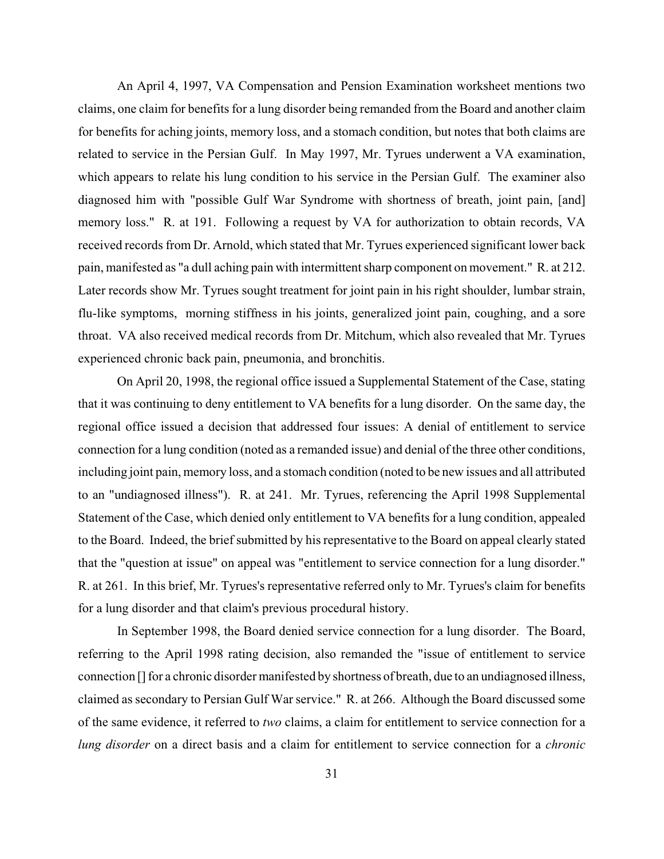An April 4, 1997, VA Compensation and Pension Examination worksheet mentions two claims, one claim for benefits for a lung disorder being remanded from the Board and another claim for benefits for aching joints, memory loss, and a stomach condition, but notes that both claims are related to service in the Persian Gulf. In May 1997, Mr. Tyrues underwent a VA examination, which appears to relate his lung condition to his service in the Persian Gulf. The examiner also diagnosed him with "possible Gulf War Syndrome with shortness of breath, joint pain, [and] memory loss." R. at 191. Following a request by VA for authorization to obtain records, VA received records from Dr. Arnold, which stated that Mr. Tyrues experienced significant lower back pain, manifested as "a dull aching pain with intermittent sharp component on movement." R. at 212. Later records show Mr. Tyrues sought treatment for joint pain in his right shoulder, lumbar strain, flu-like symptoms, morning stiffness in his joints, generalized joint pain, coughing, and a sore throat. VA also received medical records from Dr. Mitchum, which also revealed that Mr. Tyrues experienced chronic back pain, pneumonia, and bronchitis.

On April 20, 1998, the regional office issued a Supplemental Statement of the Case, stating that it was continuing to deny entitlement to VA benefits for a lung disorder. On the same day, the regional office issued a decision that addressed four issues: A denial of entitlement to service connection for a lung condition (noted as a remanded issue) and denial of the three other conditions, including joint pain, memory loss, and a stomach condition (noted to be new issues and all attributed to an "undiagnosed illness"). R. at 241. Mr. Tyrues, referencing the April 1998 Supplemental Statement of the Case, which denied only entitlement to VA benefits for a lung condition, appealed to the Board. Indeed, the brief submitted by his representative to the Board on appeal clearly stated that the "question at issue" on appeal was "entitlement to service connection for a lung disorder." R. at 261. In this brief, Mr. Tyrues's representative referred only to Mr. Tyrues's claim for benefits for a lung disorder and that claim's previous procedural history.

In September 1998, the Board denied service connection for a lung disorder. The Board, referring to the April 1998 rating decision, also remanded the "issue of entitlement to service connection [] for a chronic disorder manifested by shortness of breath, due to an undiagnosed illness, claimed as secondary to Persian Gulf War service." R. at 266. Although the Board discussed some of the same evidence, it referred to *two* claims, a claim for entitlement to service connection for a *lung disorder* on a direct basis and a claim for entitlement to service connection for a *chronic*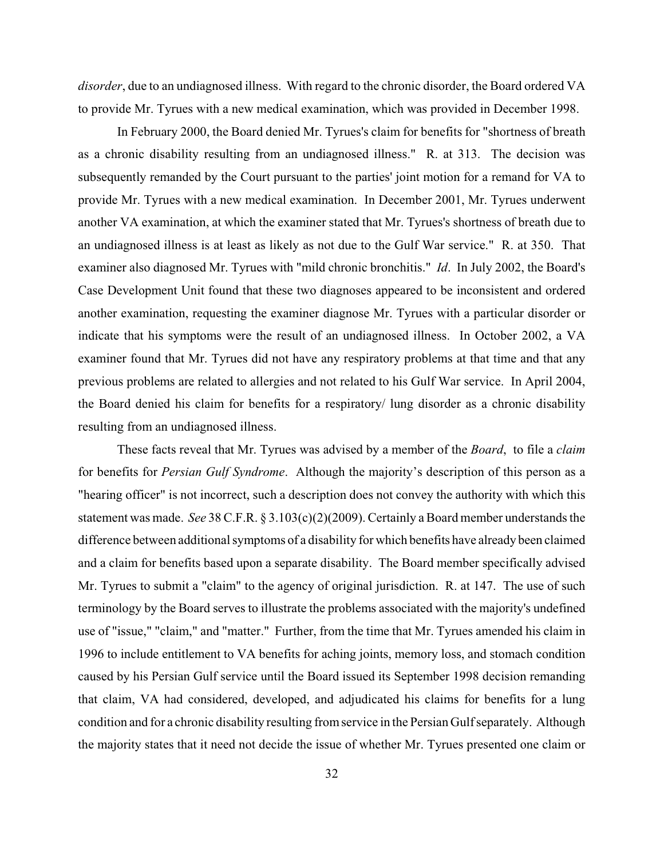*disorder*, due to an undiagnosed illness. With regard to the chronic disorder, the Board ordered VA to provide Mr. Tyrues with a new medical examination, which was provided in December 1998.

In February 2000, the Board denied Mr. Tyrues's claim for benefits for "shortness of breath as a chronic disability resulting from an undiagnosed illness." R. at 313. The decision was subsequently remanded by the Court pursuant to the parties' joint motion for a remand for VA to provide Mr. Tyrues with a new medical examination. In December 2001, Mr. Tyrues underwent another VA examination, at which the examiner stated that Mr. Tyrues's shortness of breath due to an undiagnosed illness is at least as likely as not due to the Gulf War service." R. at 350. That examiner also diagnosed Mr. Tyrues with "mild chronic bronchitis." *Id*. In July 2002, the Board's Case Development Unit found that these two diagnoses appeared to be inconsistent and ordered another examination, requesting the examiner diagnose Mr. Tyrues with a particular disorder or indicate that his symptoms were the result of an undiagnosed illness. In October 2002, a VA examiner found that Mr. Tyrues did not have any respiratory problems at that time and that any previous problems are related to allergies and not related to his Gulf War service. In April 2004, the Board denied his claim for benefits for a respiratory/ lung disorder as a chronic disability resulting from an undiagnosed illness.

These facts reveal that Mr. Tyrues was advised by a member of the *Board*, to file a *claim* for benefits for *Persian Gulf Syndrome*. Although the majority's description of this person as a "hearing officer" is not incorrect, such a description does not convey the authority with which this statement was made. *See* 38 C.F.R. § 3.103(c)(2)(2009). Certainly a Board member understands the difference between additional symptoms of a disability for which benefits have already been claimed and a claim for benefits based upon a separate disability. The Board member specifically advised Mr. Tyrues to submit a "claim" to the agency of original jurisdiction. R. at 147. The use of such terminology by the Board serves to illustrate the problems associated with the majority's undefined use of "issue," "claim," and "matter." Further, from the time that Mr. Tyrues amended his claim in 1996 to include entitlement to VA benefits for aching joints, memory loss, and stomach condition caused by his Persian Gulf service until the Board issued its September 1998 decision remanding that claim, VA had considered, developed, and adjudicated his claims for benefits for a lung condition and for a chronic disability resulting from service in the Persian Gulf separately. Although the majority states that it need not decide the issue of whether Mr. Tyrues presented one claim or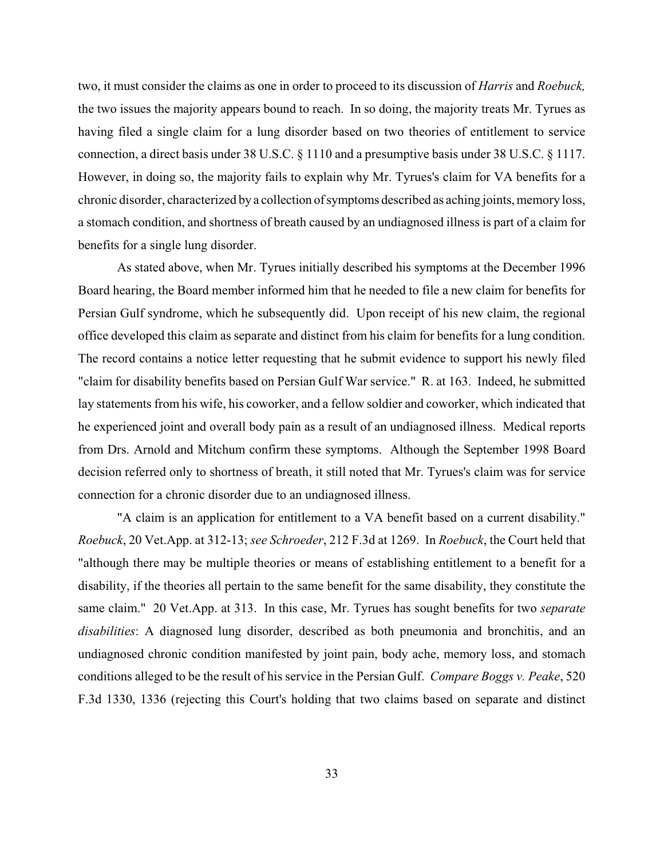two, it must consider the claims as one in order to proceed to its discussion of *Harris* and *Roebuck,* the two issues the majority appears bound to reach. In so doing, the majority treats Mr. Tyrues as having filed a single claim for a lung disorder based on two theories of entitlement to service connection, a direct basis under 38 U.S.C. § 1110 and a presumptive basis under 38 U.S.C. § 1117. However, in doing so, the majority fails to explain why Mr. Tyrues's claim for VA benefits for a chronic disorder, characterized by a collection of symptoms described as aching joints, memory loss, a stomach condition, and shortness of breath caused by an undiagnosed illness is part of a claim for benefits for a single lung disorder.

As stated above, when Mr. Tyrues initially described his symptoms at the December 1996 Board hearing, the Board member informed him that he needed to file a new claim for benefits for Persian Gulf syndrome, which he subsequently did. Upon receipt of his new claim, the regional office developed this claim as separate and distinct from his claim for benefits for a lung condition. The record contains a notice letter requesting that he submit evidence to support his newly filed "claim for disability benefits based on Persian Gulf War service." R. at 163. Indeed, he submitted lay statements from his wife, his coworker, and a fellow soldier and coworker, which indicated that he experienced joint and overall body pain as a result of an undiagnosed illness. Medical reports from Drs. Arnold and Mitchum confirm these symptoms. Although the September 1998 Board decision referred only to shortness of breath, it still noted that Mr. Tyrues's claim was for service connection for a chronic disorder due to an undiagnosed illness.

"A claim is an application for entitlement to a VA benefit based on a current disability." *Roebuck*, 20 Vet.App. at 312-13; *see Schroeder*, 212 F.3d at 1269. In *Roebuck*, the Court held that "although there may be multiple theories or means of establishing entitlement to a benefit for a disability, if the theories all pertain to the same benefit for the same disability, they constitute the same claim." 20 Vet.App. at 313. In this case, Mr. Tyrues has sought benefits for two *separate disabilities*: A diagnosed lung disorder, described as both pneumonia and bronchitis, and an undiagnosed chronic condition manifested by joint pain, body ache, memory loss, and stomach conditions alleged to be the result of his service in the Persian Gulf. *Compare Boggs v. Peake*, 520 F.3d 1330, 1336 (rejecting this Court's holding that two claims based on separate and distinct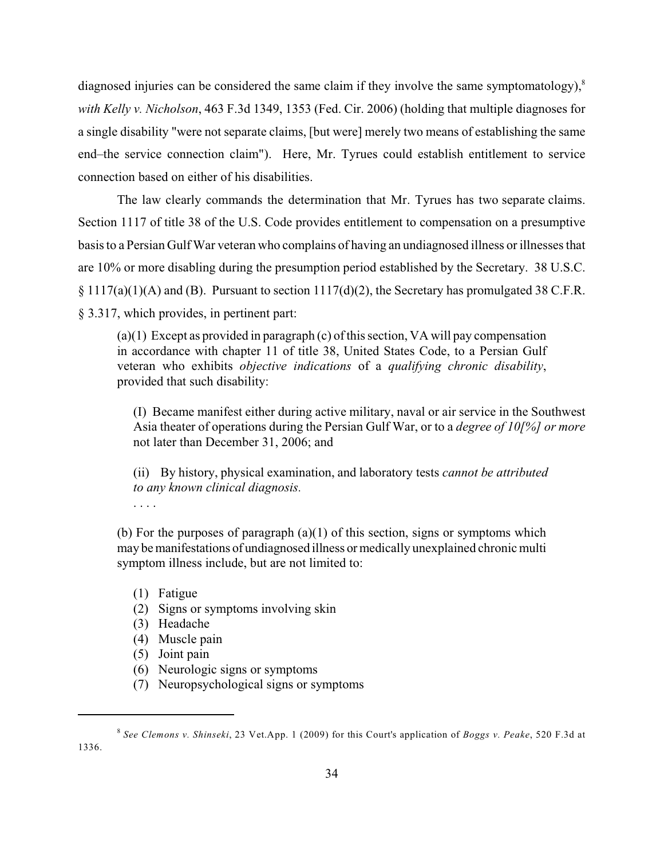diagnosed injuries can be considered the same claim if they involve the same symptomatology), $\frac{8}{3}$ *with Kelly v. Nicholson*, 463 F.3d 1349, 1353 (Fed. Cir. 2006) (holding that multiple diagnoses for a single disability "were not separate claims, [but were] merely two means of establishing the same end–the service connection claim"). Here, Mr. Tyrues could establish entitlement to service connection based on either of his disabilities.

The law clearly commands the determination that Mr. Tyrues has two separate claims. Section 1117 of title 38 of the U.S. Code provides entitlement to compensation on a presumptive basis to a Persian Gulf War veteran who complains of having an undiagnosed illness or illnesses that are 10% or more disabling during the presumption period established by the Secretary. 38 U.S.C.  $\S 1117(a)(1)(A)$  and (B). Pursuant to section  $1117(d)(2)$ , the Secretary has promulgated 38 C.F.R. § 3.317, which provides, in pertinent part:

(a)(1) Except as provided in paragraph (c) of this section, VA will pay compensation in accordance with chapter 11 of title 38, United States Code, to a Persian Gulf veteran who exhibits *objective indications* of a *qualifying chronic disability*, provided that such disability:

(I) Became manifest either during active military, naval or air service in the Southwest Asia theater of operations during the Persian Gulf War, or to a *degree of 10[%] or more* not later than December 31, 2006; and

(ii) By history, physical examination, and laboratory tests *cannot be attributed to any known clinical diagnosis.* 

. . . .

(b) For the purposes of paragraph  $(a)(1)$  of this section, signs or symptoms which may be manifestations of undiagnosed illness or medically unexplained chronic multi symptom illness include, but are not limited to:

- (1) Fatigue
- (2) Signs or symptoms involving skin
- (3) Headache
- (4) Muscle pain
- (5) Joint pain
- (6) Neurologic signs or symptoms
- (7) Neuropsychological signs or symptoms

*See Clemons v. Shinseki*, 23 Vet.App. 1 (2009) for this Court's application of *Boggs v. Peake*, 520 F.3d at <sup>8</sup> 1336.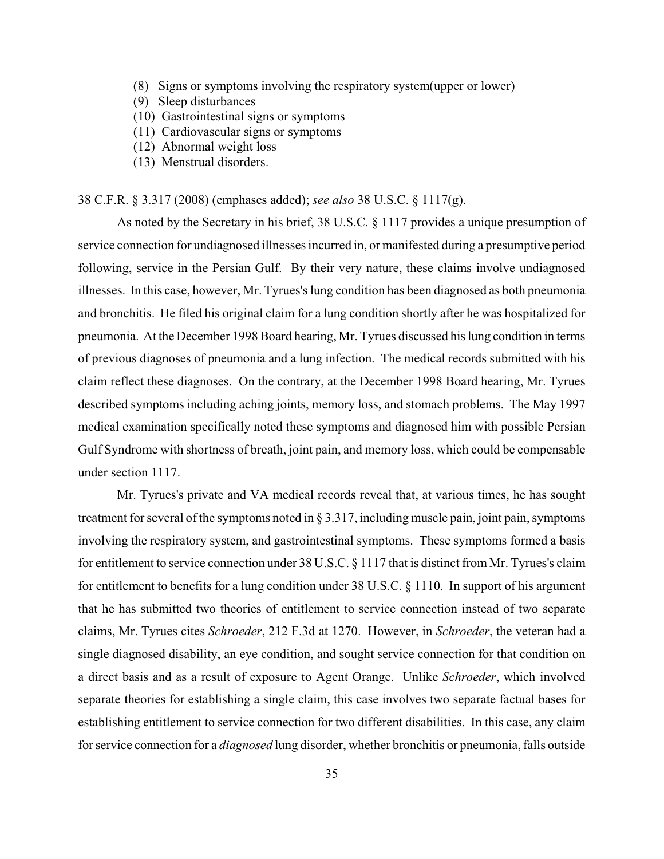- (8) Signs or symptoms involving the respiratory system(upper or lower)
- (9) Sleep disturbances
- (10) Gastrointestinal signs or symptoms
- (11) Cardiovascular signs or symptoms
- (12) Abnormal weight loss
- (13) Menstrual disorders.

## 38 C.F.R. § 3.317 (2008) (emphases added); *see also* 38 U.S.C. § 1117(g).

As noted by the Secretary in his brief, 38 U.S.C. § 1117 provides a unique presumption of service connection for undiagnosed illnesses incurred in, or manifested during a presumptive period following, service in the Persian Gulf. By their very nature, these claims involve undiagnosed illnesses. In this case, however, Mr. Tyrues's lung condition has been diagnosed as both pneumonia and bronchitis. He filed his original claim for a lung condition shortly after he was hospitalized for pneumonia. At the December 1998 Board hearing, Mr. Tyrues discussed his lung condition in terms of previous diagnoses of pneumonia and a lung infection. The medical records submitted with his claim reflect these diagnoses. On the contrary, at the December 1998 Board hearing, Mr. Tyrues described symptoms including aching joints, memory loss, and stomach problems. The May 1997 medical examination specifically noted these symptoms and diagnosed him with possible Persian Gulf Syndrome with shortness of breath, joint pain, and memory loss, which could be compensable under section 1117.

Mr. Tyrues's private and VA medical records reveal that, at various times, he has sought treatment for several of the symptoms noted in § 3.317, including muscle pain, joint pain, symptoms involving the respiratory system, and gastrointestinal symptoms. These symptoms formed a basis for entitlement to service connection under 38 U.S.C. § 1117 that is distinct from Mr. Tyrues's claim for entitlement to benefits for a lung condition under 38 U.S.C. § 1110. In support of his argument that he has submitted two theories of entitlement to service connection instead of two separate claims, Mr. Tyrues cites *Schroeder*, 212 F.3d at 1270. However, in *Schroeder*, the veteran had a single diagnosed disability, an eye condition, and sought service connection for that condition on a direct basis and as a result of exposure to Agent Orange. Unlike *Schroeder*, which involved separate theories for establishing a single claim, this case involves two separate factual bases for establishing entitlement to service connection for two different disabilities. In this case, any claim for service connection for a *diagnosed* lung disorder, whether bronchitis or pneumonia, falls outside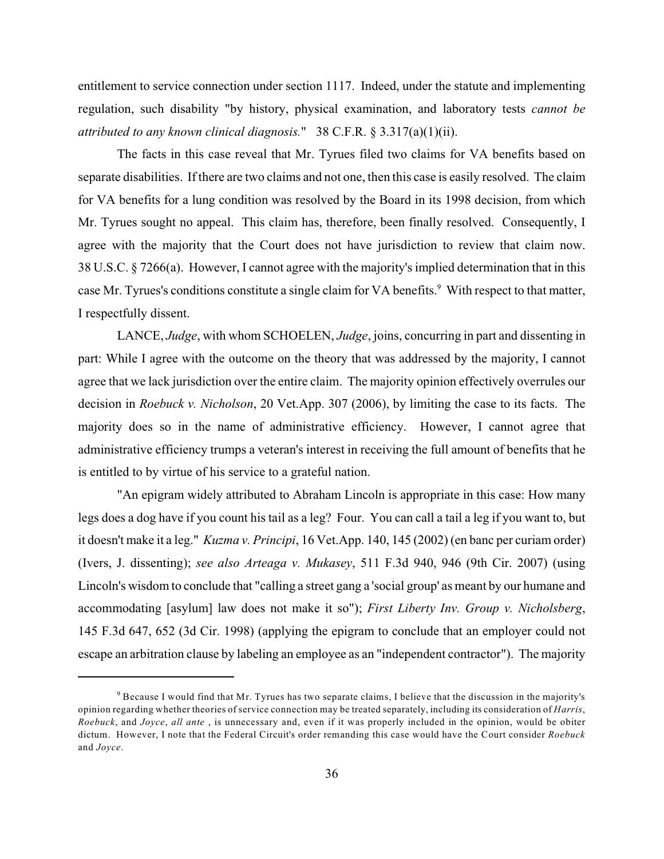entitlement to service connection under section 1117. Indeed, under the statute and implementing regulation, such disability "by history, physical examination, and laboratory tests *cannot be attributed to any known clinical diagnosis.*" 38 C.F.R. § 3.317(a)(1)(ii).

The facts in this case reveal that Mr. Tyrues filed two claims for VA benefits based on separate disabilities. If there are two claims and not one, then this case is easily resolved. The claim for VA benefits for a lung condition was resolved by the Board in its 1998 decision, from which Mr. Tyrues sought no appeal. This claim has, therefore, been finally resolved. Consequently, I agree with the majority that the Court does not have jurisdiction to review that claim now. 38 U.S.C. § 7266(a). However, I cannot agree with the majority's implied determination that in this case Mr. Tyrues's conditions constitute a single claim for VA benefits.<sup>9</sup> With respect to that matter, I respectfully dissent.

LANCE, *Judge*, with whom SCHOELEN, *Judge*, joins, concurring in part and dissenting in part: While I agree with the outcome on the theory that was addressed by the majority, I cannot agree that we lack jurisdiction over the entire claim. The majority opinion effectively overrules our decision in *Roebuck v. Nicholson*, 20 Vet.App. 307 (2006), by limiting the case to its facts. The majority does so in the name of administrative efficiency. However, I cannot agree that administrative efficiency trumps a veteran's interest in receiving the full amount of benefits that he is entitled to by virtue of his service to a grateful nation.

"An epigram widely attributed to Abraham Lincoln is appropriate in this case: How many legs does a dog have if you count his tail as a leg? Four. You can call a tail a leg if you want to, but it doesn't make it a leg." *Kuzma v. Principi*, 16 Vet.App. 140, 145 (2002) (en banc per curiam order) (Ivers, J. dissenting); *see also Arteaga v. Mukasey*, 511 F.3d 940, 946 (9th Cir. 2007) (using Lincoln's wisdom to conclude that "calling a street gang a 'social group' as meant by our humane and accommodating [asylum] law does not make it so"); *First Liberty Inv. Group v. Nicholsberg*, 145 F.3d 647, 652 (3d Cir. 1998) (applying the epigram to conclude that an employer could not escape an arbitration clause by labeling an employee as an "independent contractor"). The majority

 $9$  Because I would find that Mr. Tyrues has two separate claims, I believe that the discussion in the majority's opinion regarding whether theories of service connection may be treated separately, including its consideration of *Harris*, *Roebuck*, and *Joyce*, *all ante* , is unnecessary and, even if it was properly included in the opinion, would be obiter dictum. However, I note that the Federal Circuit's order remanding this case would have the Court consider *Roebuck* and *Joyce*.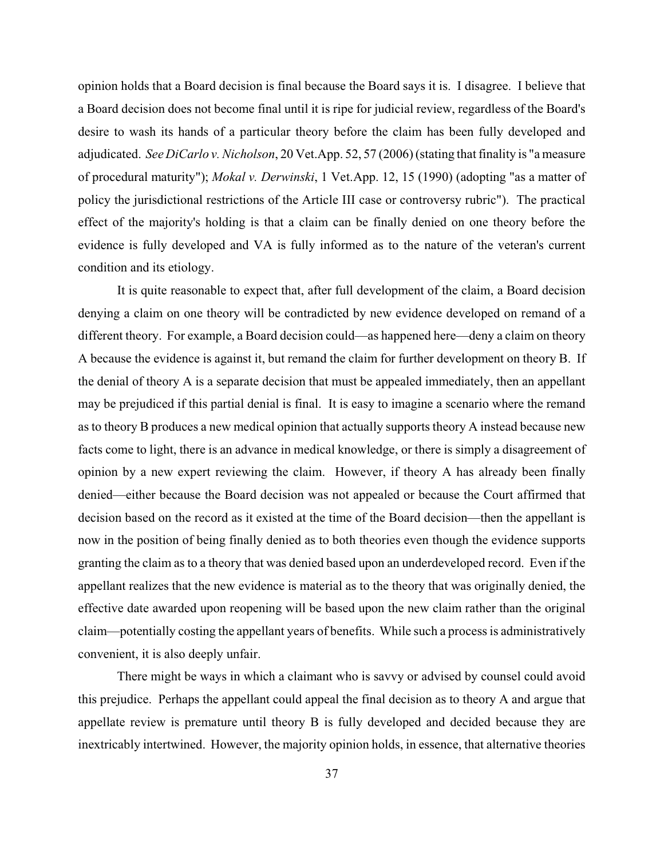opinion holds that a Board decision is final because the Board says it is. I disagree. I believe that a Board decision does not become final until it is ripe for judicial review, regardless of the Board's desire to wash its hands of a particular theory before the claim has been fully developed and adjudicated. *See DiCarlo v. Nicholson*, 20 Vet.App. 52, 57 (2006) (stating that finality is "a measure of procedural maturity"); *Mokal v. Derwinski*, 1 Vet.App. 12, 15 (1990) (adopting "as a matter of policy the jurisdictional restrictions of the Article III case or controversy rubric"). The practical effect of the majority's holding is that a claim can be finally denied on one theory before the evidence is fully developed and VA is fully informed as to the nature of the veteran's current condition and its etiology.

It is quite reasonable to expect that, after full development of the claim, a Board decision denying a claim on one theory will be contradicted by new evidence developed on remand of a different theory. For example, a Board decision could—as happened here—deny a claim on theory A because the evidence is against it, but remand the claim for further development on theory B. If the denial of theory A is a separate decision that must be appealed immediately, then an appellant may be prejudiced if this partial denial is final. It is easy to imagine a scenario where the remand as to theory B produces a new medical opinion that actually supports theory A instead because new facts come to light, there is an advance in medical knowledge, or there is simply a disagreement of opinion by a new expert reviewing the claim. However, if theory A has already been finally denied—either because the Board decision was not appealed or because the Court affirmed that decision based on the record as it existed at the time of the Board decision—then the appellant is now in the position of being finally denied as to both theories even though the evidence supports granting the claim as to a theory that was denied based upon an underdeveloped record. Even if the appellant realizes that the new evidence is material as to the theory that was originally denied, the effective date awarded upon reopening will be based upon the new claim rather than the original claim—potentially costing the appellant years of benefits. While such a process is administratively convenient, it is also deeply unfair.

There might be ways in which a claimant who is savvy or advised by counsel could avoid this prejudice. Perhaps the appellant could appeal the final decision as to theory A and argue that appellate review is premature until theory B is fully developed and decided because they are inextricably intertwined. However, the majority opinion holds, in essence, that alternative theories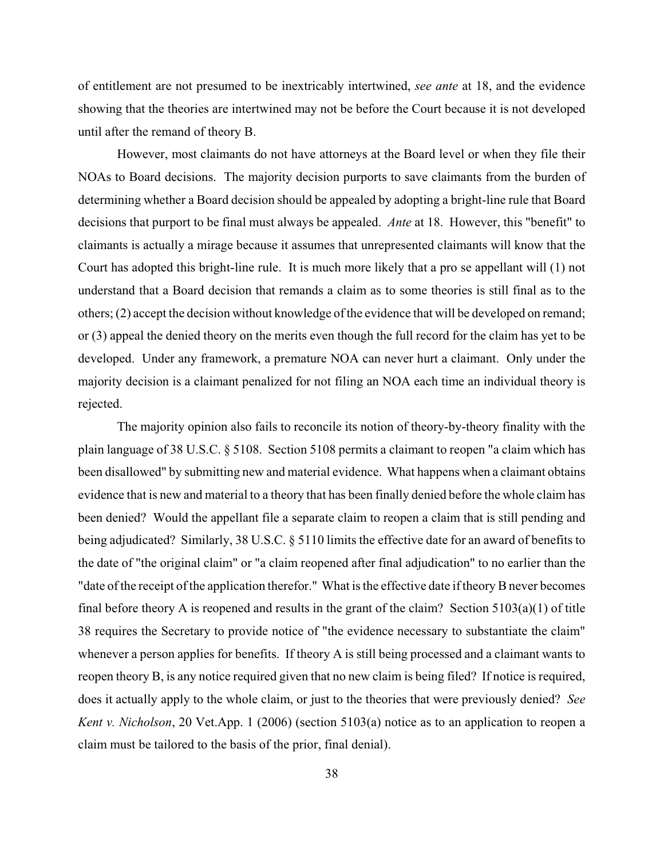of entitlement are not presumed to be inextricably intertwined, *see ante* at 18, and the evidence showing that the theories are intertwined may not be before the Court because it is not developed until after the remand of theory B.

However, most claimants do not have attorneys at the Board level or when they file their NOAs to Board decisions. The majority decision purports to save claimants from the burden of determining whether a Board decision should be appealed by adopting a bright-line rule that Board decisions that purport to be final must always be appealed. *Ante* at 18. However, this "benefit" to claimants is actually a mirage because it assumes that unrepresented claimants will know that the Court has adopted this bright-line rule. It is much more likely that a pro se appellant will (1) not understand that a Board decision that remands a claim as to some theories is still final as to the others; (2) accept the decision without knowledge of the evidence that will be developed on remand; or (3) appeal the denied theory on the merits even though the full record for the claim has yet to be developed. Under any framework, a premature NOA can never hurt a claimant. Only under the majority decision is a claimant penalized for not filing an NOA each time an individual theory is rejected.

The majority opinion also fails to reconcile its notion of theory-by-theory finality with the plain language of 38 U.S.C. § 5108. Section 5108 permits a claimant to reopen "a claim which has been disallowed" by submitting new and material evidence. What happens when a claimant obtains evidence that is new and material to a theory that has been finally denied before the whole claim has been denied? Would the appellant file a separate claim to reopen a claim that is still pending and being adjudicated? Similarly, 38 U.S.C. § 5110 limits the effective date for an award of benefits to the date of "the original claim" or "a claim reopened after final adjudication" to no earlier than the "date of the receipt of the application therefor." What is the effective date if theory B never becomes final before theory A is reopened and results in the grant of the claim? Section 5103(a)(1) of title 38 requires the Secretary to provide notice of "the evidence necessary to substantiate the claim" whenever a person applies for benefits. If theory A is still being processed and a claimant wants to reopen theory B, is any notice required given that no new claim is being filed? If notice is required, does it actually apply to the whole claim, or just to the theories that were previously denied? *See Kent v. Nicholson*, 20 Vet.App. 1 (2006) (section 5103(a) notice as to an application to reopen a claim must be tailored to the basis of the prior, final denial).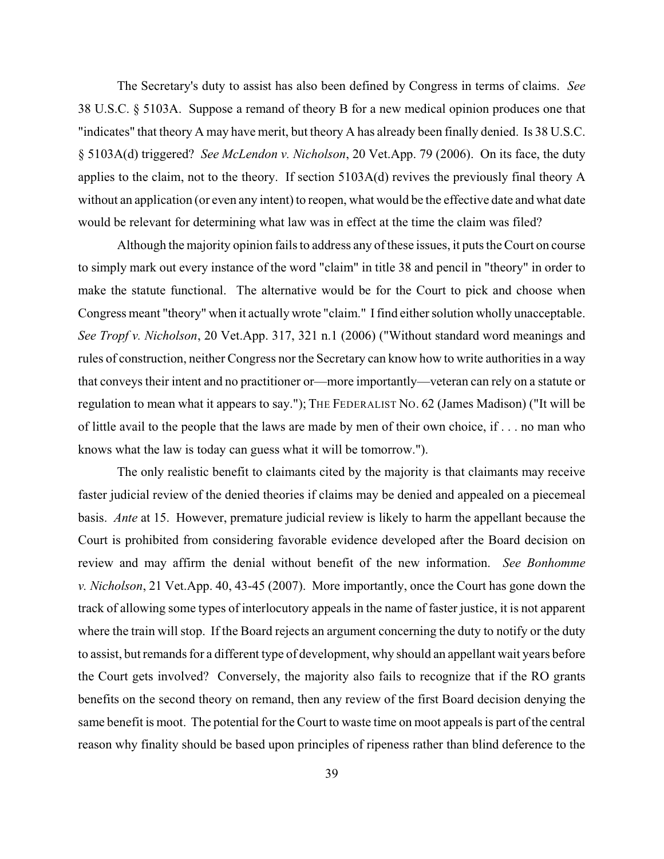The Secretary's duty to assist has also been defined by Congress in terms of claims. *See* 38 U.S.C. § 5103A. Suppose a remand of theory B for a new medical opinion produces one that "indicates" that theory A may have merit, but theory A has already been finally denied. Is 38 U.S.C. § 5103A(d) triggered? *See McLendon v. Nicholson*, 20 Vet.App. 79 (2006). On its face, the duty applies to the claim, not to the theory. If section 5103A(d) revives the previously final theory A without an application (or even any intent) to reopen, what would be the effective date and what date would be relevant for determining what law was in effect at the time the claim was filed?

Although the majority opinion fails to address any of these issues, it puts the Court on course to simply mark out every instance of the word "claim" in title 38 and pencil in "theory" in order to make the statute functional. The alternative would be for the Court to pick and choose when Congress meant "theory" when it actually wrote "claim." I find either solution wholly unacceptable. *See Tropf v. Nicholson*, 20 Vet.App. 317, 321 n.1 (2006) ("Without standard word meanings and rules of construction, neither Congress nor the Secretary can know how to write authorities in a way that conveys their intent and no practitioner or—more importantly—veteran can rely on a statute or regulation to mean what it appears to say."); THE FEDERALIST NO. 62 (James Madison) ("It will be of little avail to the people that the laws are made by men of their own choice, if . . . no man who knows what the law is today can guess what it will be tomorrow.").

The only realistic benefit to claimants cited by the majority is that claimants may receive faster judicial review of the denied theories if claims may be denied and appealed on a piecemeal basis. *Ante* at 15. However, premature judicial review is likely to harm the appellant because the Court is prohibited from considering favorable evidence developed after the Board decision on review and may affirm the denial without benefit of the new information. *See Bonhomme v. Nicholson*, 21 Vet.App. 40, 43-45 (2007). More importantly, once the Court has gone down the track of allowing some types of interlocutory appeals in the name of faster justice, it is not apparent where the train will stop. If the Board rejects an argument concerning the duty to notify or the duty to assist, but remands for a different type of development, why should an appellant wait years before the Court gets involved? Conversely, the majority also fails to recognize that if the RO grants benefits on the second theory on remand, then any review of the first Board decision denying the same benefit is moot. The potential for the Court to waste time on moot appeals is part of the central reason why finality should be based upon principles of ripeness rather than blind deference to the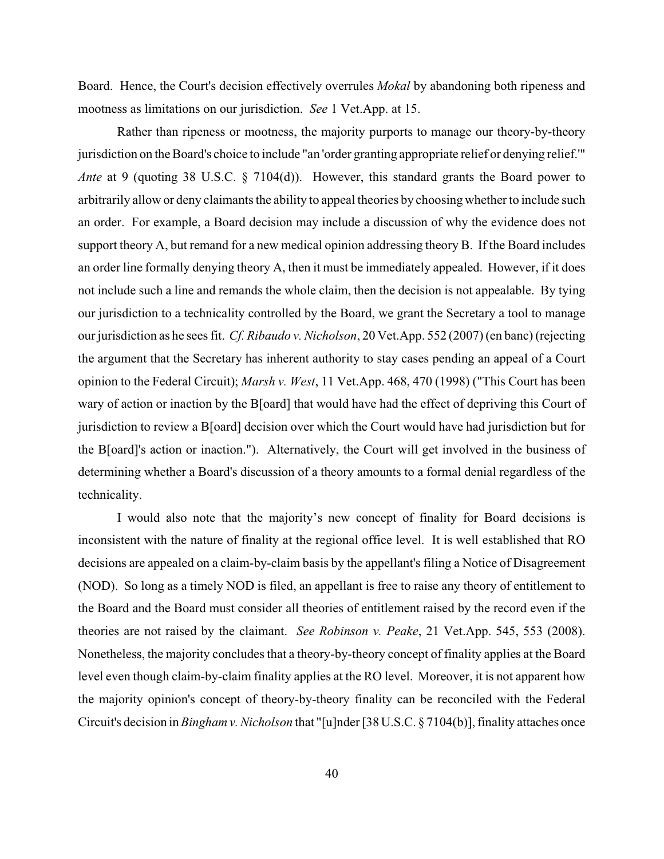Board. Hence, the Court's decision effectively overrules *Mokal* by abandoning both ripeness and mootness as limitations on our jurisdiction. *See* 1 Vet.App. at 15.

Rather than ripeness or mootness, the majority purports to manage our theory-by-theory jurisdiction on the Board's choice to include "an 'order granting appropriate relief or denying relief.'" *Ante* at 9 (quoting 38 U.S.C. § 7104(d)). However, this standard grants the Board power to arbitrarily allow or deny claimants the ability to appeal theories by choosing whether to include such an order. For example, a Board decision may include a discussion of why the evidence does not support theory A, but remand for a new medical opinion addressing theory B. If the Board includes an order line formally denying theory A, then it must be immediately appealed. However, if it does not include such a line and remands the whole claim, then the decision is not appealable. By tying our jurisdiction to a technicality controlled by the Board, we grant the Secretary a tool to manage our jurisdiction as he sees fit. *Cf. Ribaudo v. Nicholson*, 20 Vet.App. 552 (2007) (en banc) (rejecting the argument that the Secretary has inherent authority to stay cases pending an appeal of a Court opinion to the Federal Circuit); *Marsh v. West*, 11 Vet.App. 468, 470 (1998) ("This Court has been wary of action or inaction by the B[oard] that would have had the effect of depriving this Court of jurisdiction to review a B[oard] decision over which the Court would have had jurisdiction but for the B[oard]'s action or inaction."). Alternatively, the Court will get involved in the business of determining whether a Board's discussion of a theory amounts to a formal denial regardless of the technicality.

I would also note that the majority's new concept of finality for Board decisions is inconsistent with the nature of finality at the regional office level. It is well established that RO decisions are appealed on a claim-by-claim basis by the appellant's filing a Notice of Disagreement (NOD). So long as a timely NOD is filed, an appellant is free to raise any theory of entitlement to the Board and the Board must consider all theories of entitlement raised by the record even if the theories are not raised by the claimant. *See Robinson v. Peake*, 21 Vet.App. 545, 553 (2008). Nonetheless, the majority concludes that a theory-by-theory concept of finality applies at the Board level even though claim-by-claim finality applies at the RO level. Moreover, it is not apparent how the majority opinion's concept of theory-by-theory finality can be reconciled with the Federal Circuit's decision in *Bingham v. Nicholson* that "[u]nder [38 U.S.C. § 7104(b)], finality attaches once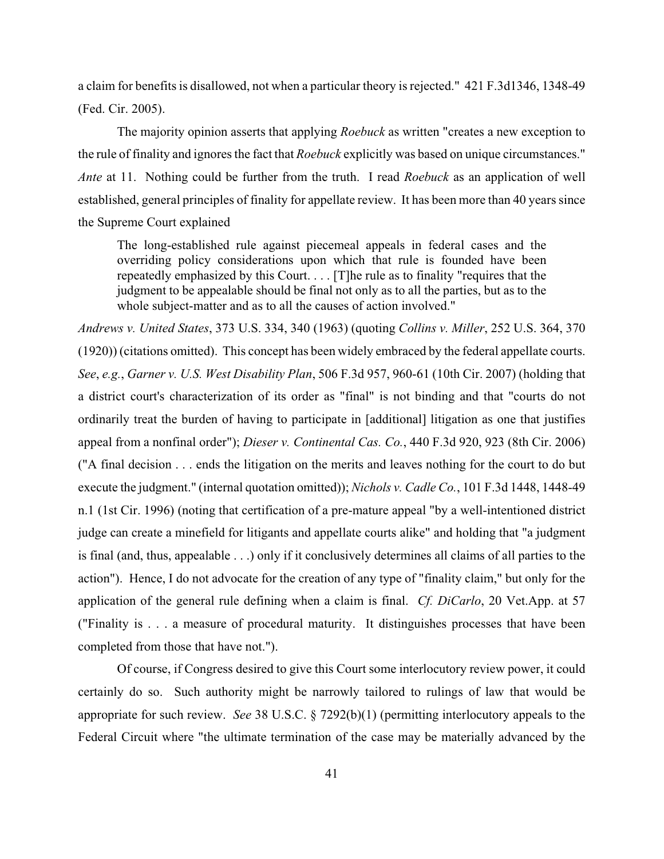a claim for benefits is disallowed, not when a particular theory is rejected." 421 F.3d1346, 1348-49 (Fed. Cir. 2005).

The majority opinion asserts that applying *Roebuck* as written "creates a new exception to the rule of finality and ignores the fact that *Roebuck* explicitly was based on unique circumstances." *Ante* at 11. Nothing could be further from the truth. I read *Roebuck* as an application of well established, general principles of finality for appellate review. It has been more than 40 years since the Supreme Court explained

The long-established rule against piecemeal appeals in federal cases and the overriding policy considerations upon which that rule is founded have been repeatedly emphasized by this Court. . . . [T]he rule as to finality "requires that the judgment to be appealable should be final not only as to all the parties, but as to the whole subject-matter and as to all the causes of action involved."

*Andrews v. United States*, 373 U.S. 334, 340 (1963) (quoting *Collins v. Miller*, 252 U.S. 364, 370 (1920)) (citations omitted). This concept has been widely embraced by the federal appellate courts. *See*, *e.g.*, *Garner v. U.S. West Disability Plan*, 506 F.3d 957, 960-61 (10th Cir. 2007) (holding that a district court's characterization of its order as "final" is not binding and that "courts do not ordinarily treat the burden of having to participate in [additional] litigation as one that justifies appeal from a nonfinal order"); *Dieser v. Continental Cas. Co.*, 440 F.3d 920, 923 (8th Cir. 2006) ("A final decision . . . ends the litigation on the merits and leaves nothing for the court to do but execute the judgment." (internal quotation omitted)); *Nichols v. Cadle Co.*, 101 F.3d 1448, 1448-49 n.1 (1st Cir. 1996) (noting that certification of a pre-mature appeal "by a well-intentioned district judge can create a minefield for litigants and appellate courts alike" and holding that "a judgment is final (and, thus, appealable . . .) only if it conclusively determines all claims of all parties to the action"). Hence, I do not advocate for the creation of any type of "finality claim," but only for the application of the general rule defining when a claim is final. *Cf. DiCarlo*, 20 Vet.App. at 57 ("Finality is . . . a measure of procedural maturity. It distinguishes processes that have been completed from those that have not.").

Of course, if Congress desired to give this Court some interlocutory review power, it could certainly do so. Such authority might be narrowly tailored to rulings of law that would be appropriate for such review. *See* 38 U.S.C. § 7292(b)(1) (permitting interlocutory appeals to the Federal Circuit where "the ultimate termination of the case may be materially advanced by the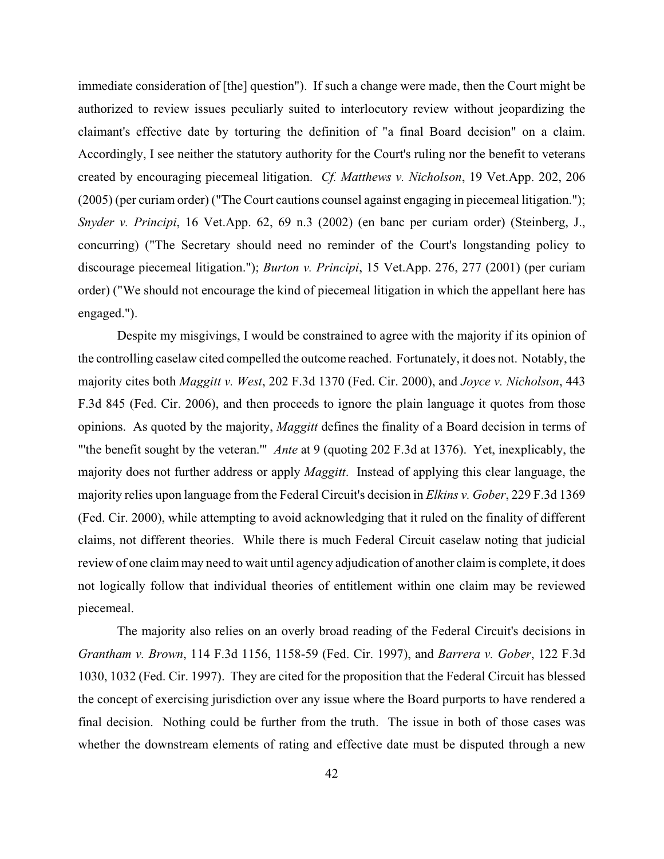immediate consideration of [the] question"). If such a change were made, then the Court might be authorized to review issues peculiarly suited to interlocutory review without jeopardizing the claimant's effective date by torturing the definition of "a final Board decision" on a claim. Accordingly, I see neither the statutory authority for the Court's ruling nor the benefit to veterans created by encouraging piecemeal litigation. *Cf. Matthews v. Nicholson*, 19 Vet.App. 202, 206 (2005) (per curiam order) ("The Court cautions counsel against engaging in piecemeal litigation."); *Snyder v. Principi*, 16 Vet.App. 62, 69 n.3 (2002) (en banc per curiam order) (Steinberg, J., concurring) ("The Secretary should need no reminder of the Court's longstanding policy to discourage piecemeal litigation."); *Burton v. Principi*, 15 Vet.App. 276, 277 (2001) (per curiam order) ("We should not encourage the kind of piecemeal litigation in which the appellant here has engaged.").

Despite my misgivings, I would be constrained to agree with the majority if its opinion of the controlling caselaw cited compelled the outcome reached. Fortunately, it does not. Notably, the majority cites both *Maggitt v. West*, 202 F.3d 1370 (Fed. Cir. 2000), and *Joyce v. Nicholson*, 443 F.3d 845 (Fed. Cir. 2006), and then proceeds to ignore the plain language it quotes from those opinions. As quoted by the majority, *Maggitt* defines the finality of a Board decision in terms of "'the benefit sought by the veteran.'" *Ante* at 9 (quoting 202 F.3d at 1376). Yet, inexplicably, the majority does not further address or apply *Maggitt*. Instead of applying this clear language, the majority relies upon language from the Federal Circuit's decision in *Elkins v. Gober*, 229 F.3d 1369 (Fed. Cir. 2000), while attempting to avoid acknowledging that it ruled on the finality of different claims, not different theories. While there is much Federal Circuit caselaw noting that judicial review of one claim may need to wait until agency adjudication of another claim is complete, it does not logically follow that individual theories of entitlement within one claim may be reviewed piecemeal.

The majority also relies on an overly broad reading of the Federal Circuit's decisions in *Grantham v. Brown*, 114 F.3d 1156, 1158-59 (Fed. Cir. 1997), and *Barrera v. Gober*, 122 F.3d 1030, 1032 (Fed. Cir. 1997). They are cited for the proposition that the Federal Circuit has blessed the concept of exercising jurisdiction over any issue where the Board purports to have rendered a final decision. Nothing could be further from the truth. The issue in both of those cases was whether the downstream elements of rating and effective date must be disputed through a new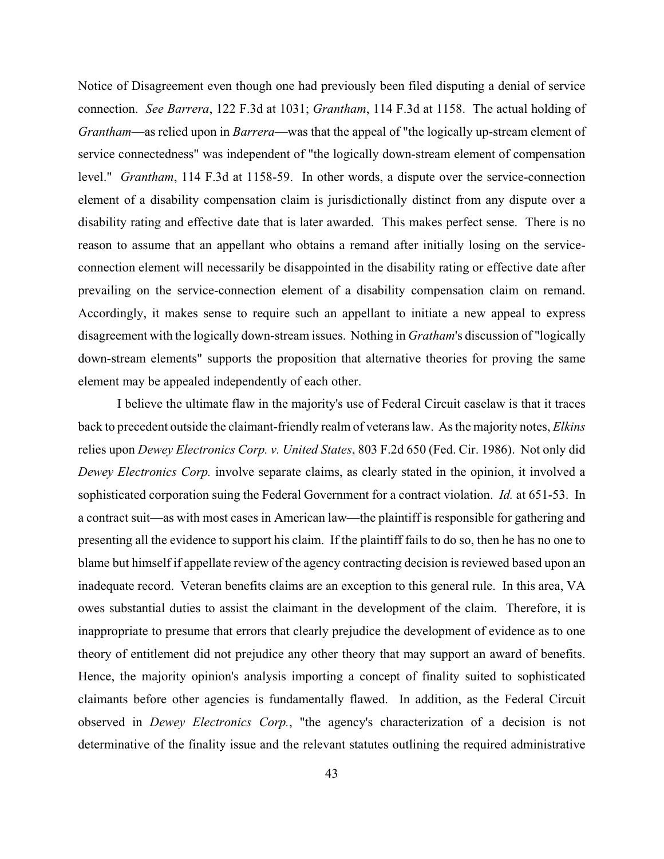Notice of Disagreement even though one had previously been filed disputing a denial of service connection. *See Barrera*, 122 F.3d at 1031; *Grantham*, 114 F.3d at 1158. The actual holding of *Grantham*—as relied upon in *Barrera*—was that the appeal of "the logically up-stream element of service connectedness" was independent of "the logically down-stream element of compensation level." *Grantham*, 114 F.3d at 1158-59. In other words, a dispute over the service-connection element of a disability compensation claim is jurisdictionally distinct from any dispute over a disability rating and effective date that is later awarded. This makes perfect sense. There is no reason to assume that an appellant who obtains a remand after initially losing on the serviceconnection element will necessarily be disappointed in the disability rating or effective date after prevailing on the service-connection element of a disability compensation claim on remand. Accordingly, it makes sense to require such an appellant to initiate a new appeal to express disagreement with the logically down-stream issues. Nothing in *Gratham*'s discussion of "logically down-stream elements" supports the proposition that alternative theories for proving the same element may be appealed independently of each other.

I believe the ultimate flaw in the majority's use of Federal Circuit caselaw is that it traces back to precedent outside the claimant-friendly realm of veterans law. As the majority notes, *Elkins* relies upon *Dewey Electronics Corp. v. United States*, 803 F.2d 650 (Fed. Cir. 1986). Not only did *Dewey Electronics Corp.* involve separate claims, as clearly stated in the opinion, it involved a sophisticated corporation suing the Federal Government for a contract violation. *Id.* at 651-53. In a contract suit—as with most cases in American law—the plaintiff is responsible for gathering and presenting all the evidence to support his claim. If the plaintiff fails to do so, then he has no one to blame but himself if appellate review of the agency contracting decision is reviewed based upon an inadequate record. Veteran benefits claims are an exception to this general rule. In this area, VA owes substantial duties to assist the claimant in the development of the claim. Therefore, it is inappropriate to presume that errors that clearly prejudice the development of evidence as to one theory of entitlement did not prejudice any other theory that may support an award of benefits. Hence, the majority opinion's analysis importing a concept of finality suited to sophisticated claimants before other agencies is fundamentally flawed. In addition, as the Federal Circuit observed in *Dewey Electronics Corp.*, "the agency's characterization of a decision is not determinative of the finality issue and the relevant statutes outlining the required administrative